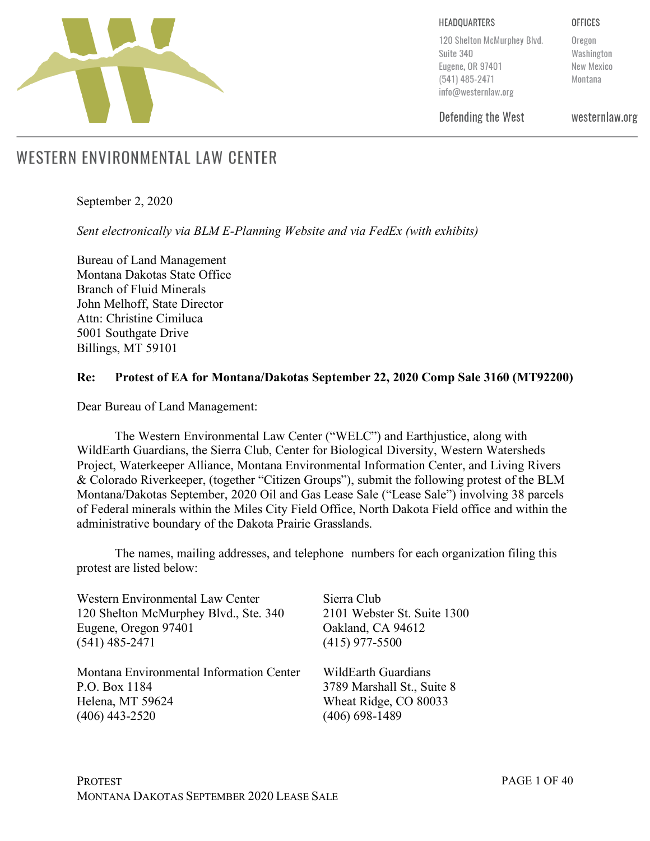

HEADQUARTERS

**OFFICES** 

120 Shelton McMurphey Blvd. Suite 340 Eugene, OR 97401 (541) 485-2471 info@westernlaw.org

Oregon Washington New Mexico Montana

Defending the West

westernlaw.org

# WESTERN ENVIRONMENTAL LAW CENTER

September 2, 2020

*Sent electronically via BLM E-Planning Website and via FedEx (with exhibits)*

Bureau of Land Management Montana Dakotas State Office Branch of Fluid Minerals John Melhoff, State Director Attn: Christine Cimiluca 5001 Southgate Drive Billings, MT 59101

#### **Re: Protest of EA for Montana/Dakotas September 22, 2020 Comp Sale 3160 (MT92200)**

Dear Bureau of Land Management:

The Western Environmental Law Center ("WELC") and Earthjustice, along with WildEarth Guardians, the Sierra Club, Center for Biological Diversity, Western Watersheds Project, Waterkeeper Alliance, Montana Environmental Information Center, and Living Rivers & Colorado Riverkeeper, (together "Citizen Groups"), submit the following protest of the BLM Montana/Dakotas September, 2020 Oil and Gas Lease Sale ("Lease Sale") involving 38 parcels of Federal minerals within the Miles City Field Office, North Dakota Field office and within the administrative boundary of the Dakota Prairie Grasslands.

The names, mailing addresses, and telephone numbers for each organization filing this protest are listed below:

| <b>Western Environmental Law Center</b>  | Sierra Club                 |
|------------------------------------------|-----------------------------|
| 120 Shelton McMurphey Blvd., Ste. 340    | 2101 Webster St. Suite 1300 |
| Eugene, Oregon 97401                     | Oakland, CA 94612           |
| $(541)$ 485-2471                         | $(415)$ 977-5500            |
| Montana Environmental Information Center | WildEarth Guardians         |
| P.O. Box 1184                            | 3789 Marshall St., Suite 8  |
| Helena, MT 59624                         | Wheat Ridge, CO 80033       |
| $(406)$ 443-2520                         | $(406)$ 698-1489            |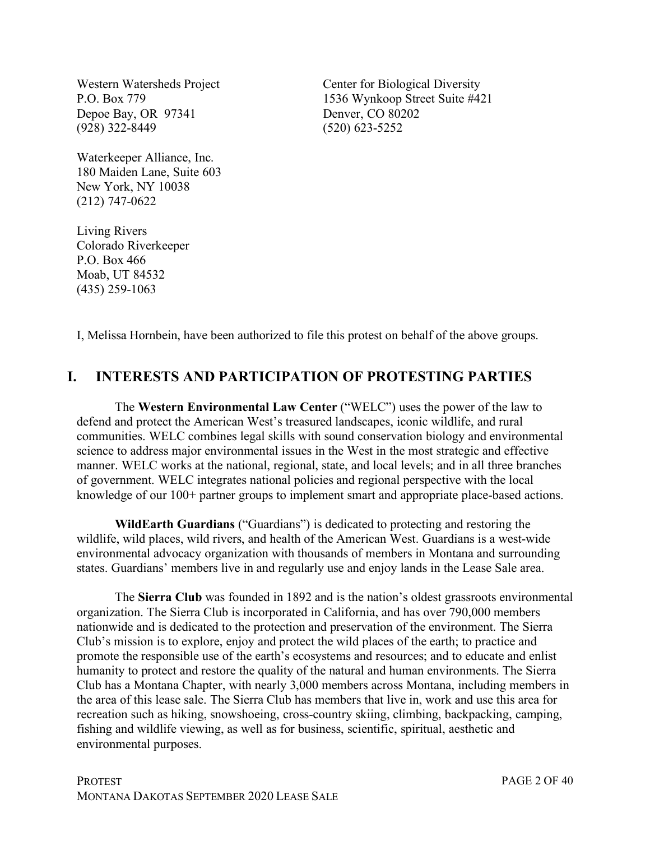Western Watersheds Project P.O. Box 779 Depoe Bay, OR 97341 (928) 322-8449

Waterkeeper Alliance, Inc. 180 Maiden Lane, Suite 603 New York, NY 10038 (212) 747-0622

Living Rivers Colorado Riverkeeper P.O. Box 466 Moab, UT 84532 (435) 259-1063

Center for Biological Diversity 1536 Wynkoop Street Suite #421 Denver, CO 80202 (520) 623-5252

I, Melissa Hornbein, have been authorized to file this protest on behalf of the above groups.

# **I. INTERESTS AND PARTICIPATION OF PROTESTING PARTIES**

The **Western Environmental Law Center** ("WELC") uses the power of the law to defend and protect the American West's treasured landscapes, iconic wildlife, and rural communities. WELC combines legal skills with sound conservation biology and environmental science to address major environmental issues in the West in the most strategic and effective manner. WELC works at the national, regional, state, and local levels; and in all three branches of government. WELC integrates national policies and regional perspective with the local knowledge of our 100+ partner groups to implement smart and appropriate place-based actions.

**WildEarth Guardians** ("Guardians") is dedicated to protecting and restoring the wildlife, wild places, wild rivers, and health of the American West. Guardians is a west-wide environmental advocacy organization with thousands of members in Montana and surrounding states. Guardians' members live in and regularly use and enjoy lands in the Lease Sale area.

The **Sierra Club** was founded in 1892 and is the nation's oldest grassroots environmental organization. The Sierra Club is incorporated in California, and has over 790,000 members nationwide and is dedicated to the protection and preservation of the environment. The Sierra Club's mission is to explore, enjoy and protect the wild places of the earth; to practice and promote the responsible use of the earth's ecosystems and resources; and to educate and enlist humanity to protect and restore the quality of the natural and human environments. The Sierra Club has a Montana Chapter, with nearly 3,000 members across Montana, including members in the area of this lease sale. The Sierra Club has members that live in, work and use this area for recreation such as hiking, snowshoeing, cross-country skiing, climbing, backpacking, camping, fishing and wildlife viewing, as well as for business, scientific, spiritual, aesthetic and environmental purposes.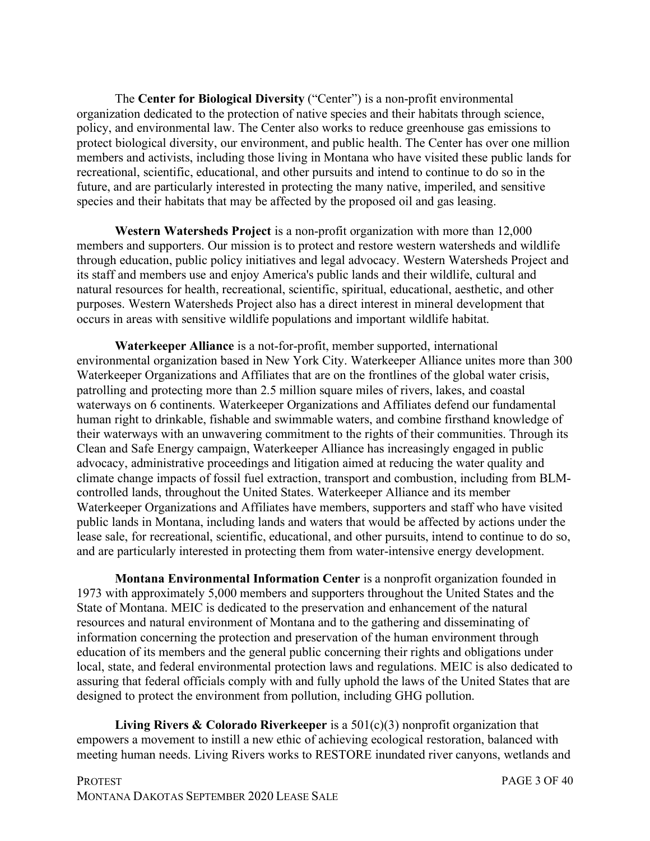The **Center for Biological Diversity** ("Center") is a non-profit environmental organization dedicated to the protection of native species and their habitats through science, policy, and environmental law. The Center also works to reduce greenhouse gas emissions to protect biological diversity, our environment, and public health. The Center has over one million members and activists, including those living in Montana who have visited these public lands for recreational, scientific, educational, and other pursuits and intend to continue to do so in the future, and are particularly interested in protecting the many native, imperiled, and sensitive species and their habitats that may be affected by the proposed oil and gas leasing.

**Western Watersheds Project** is a non-profit organization with more than 12,000 members and supporters. Our mission is to protect and restore western watersheds and wildlife through education, public policy initiatives and legal advocacy. Western Watersheds Project and its staff and members use and enjoy America's public lands and their wildlife, cultural and natural resources for health, recreational, scientific, spiritual, educational, aesthetic, and other purposes. Western Watersheds Project also has a direct interest in mineral development that occurs in areas with sensitive wildlife populations and important wildlife habitat.

**Waterkeeper Alliance** is a not-for-profit, member supported, international environmental organization based in New York City. Waterkeeper Alliance unites more than 300 Waterkeeper Organizations and Affiliates that are on the frontlines of the global water crisis, patrolling and protecting more than 2.5 million square miles of rivers, lakes, and coastal waterways on 6 continents. Waterkeeper Organizations and Affiliates defend our fundamental human right to drinkable, fishable and swimmable waters, and combine firsthand knowledge of their waterways with an unwavering commitment to the rights of their communities. Through its Clean and Safe Energy campaign, Waterkeeper Alliance has increasingly engaged in public advocacy, administrative proceedings and litigation aimed at reducing the water quality and climate change impacts of fossil fuel extraction, transport and combustion, including from BLMcontrolled lands, throughout the United States. Waterkeeper Alliance and its member Waterkeeper Organizations and Affiliates have members, supporters and staff who have visited public lands in Montana, including lands and waters that would be affected by actions under the lease sale, for recreational, scientific, educational, and other pursuits, intend to continue to do so, and are particularly interested in protecting them from water-intensive energy development.

**Montana Environmental Information Center** is a nonprofit organization founded in 1973 with approximately 5,000 members and supporters throughout the United States and the State of Montana. MEIC is dedicated to the preservation and enhancement of the natural resources and natural environment of Montana and to the gathering and disseminating of information concerning the protection and preservation of the human environment through education of its members and the general public concerning their rights and obligations under local, state, and federal environmental protection laws and regulations. MEIC is also dedicated to assuring that federal officials comply with and fully uphold the laws of the United States that are designed to protect the environment from pollution, including GHG pollution.

**Living Rivers & Colorado Riverkeeper** is a 501(c)(3) nonprofit organization that empowers a movement to instill a new ethic of achieving ecological restoration, balanced with meeting human needs. Living Rivers works to RESTORE inundated river canyons, wetlands and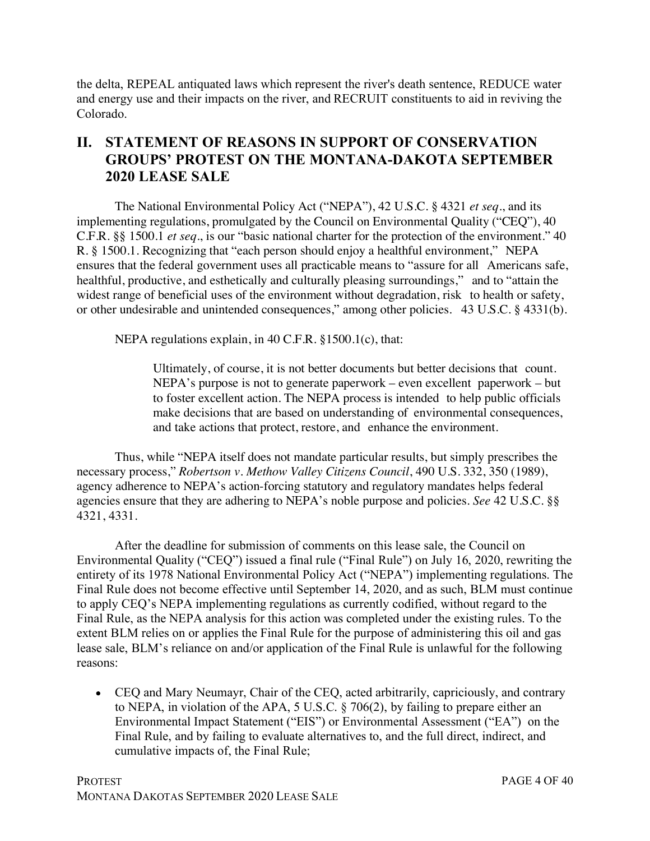the delta, REPEAL antiquated laws which represent the river's death sentence, REDUCE water and energy use and their impacts on the river, and RECRUIT constituents to aid in reviving the Colorado.

# **II. STATEMENT OF REASONS IN SUPPORT OF CONSERVATION GROUPS' PROTEST ON THE MONTANA-DAKOTA SEPTEMBER 2020 LEASE SALE**

The National Environmental Policy Act ("NEPA"), 42 U.S.C. § 4321 *et seq*., and its implementing regulations, promulgated by the Council on Environmental Quality ("CEQ"), 40 C.F.R. §§ 1500.1 *et seq*., is our "basic national charter for the protection of the environment." 40 R. § 1500.1. Recognizing that "each person should enjoy a healthful environment," NEPA ensures that the federal government uses all practicable means to "assure for all Americans safe, healthful, productive, and esthetically and culturally pleasing surroundings," and to "attain the widest range of beneficial uses of the environment without degradation, risk to health or safety, or other undesirable and unintended consequences," among other policies. 43 U.S.C. § 4331(b).

NEPA regulations explain, in 40 C.F.R. §1500.1(c), that:

Ultimately, of course, it is not better documents but better decisions that count. NEPA's purpose is not to generate paperwork – even excellent paperwork – but to foster excellent action. The NEPA process is intended to help public officials make decisions that are based on understanding of environmental consequences, and take actions that protect, restore, and enhance the environment.

Thus, while "NEPA itself does not mandate particular results, but simply prescribes the necessary process," *Robertson v. Methow Valley Citizens Council*, 490 U.S. 332, 350 (1989), agency adherence to NEPA's action-forcing statutory and regulatory mandates helps federal agencies ensure that they are adhering to NEPA's noble purpose and policies. *See* 42 U.S.C. §§ 4321, 4331.

After the deadline for submission of comments on this lease sale, the Council on Environmental Quality ("CEQ") issued a final rule ("Final Rule") on July 16, 2020, rewriting the entirety of its 1978 National Environmental Policy Act ("NEPA") implementing regulations. The Final Rule does not become effective until September 14, 2020, and as such, BLM must continue to apply CEQ's NEPA implementing regulations as currently codified, without regard to the Final Rule, as the NEPA analysis for this action was completed under the existing rules. To the extent BLM relies on or applies the Final Rule for the purpose of administering this oil and gas lease sale, BLM's reliance on and/or application of the Final Rule is unlawful for the following reasons:

• CEQ and Mary Neumayr, Chair of the CEQ, acted arbitrarily, capriciously, and contrary to NEPA, in violation of the APA, 5 U.S.C. § 706(2), by failing to prepare either an Environmental Impact Statement ("EIS") or Environmental Assessment ("EA") on the Final Rule, and by failing to evaluate alternatives to, and the full direct, indirect, and cumulative impacts of, the Final Rule;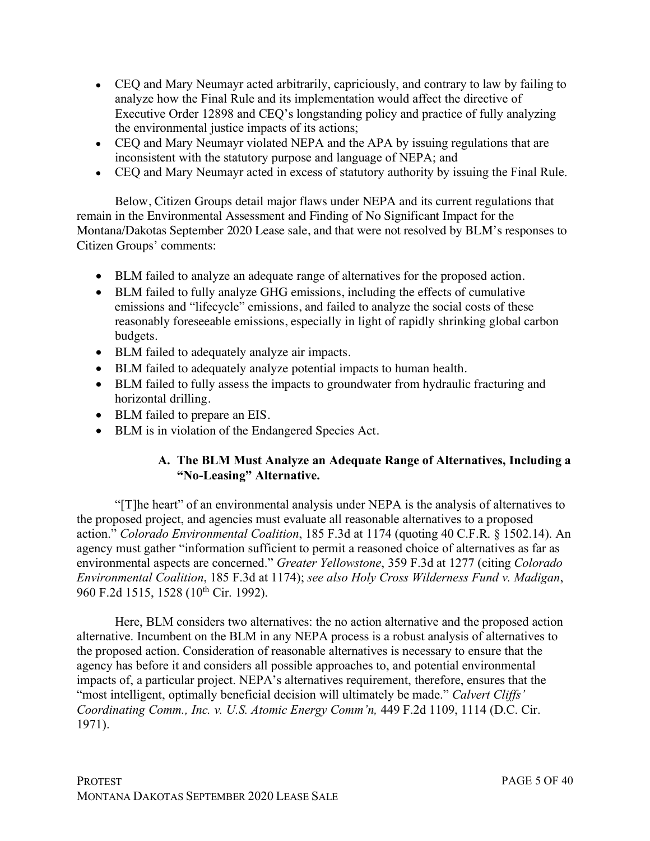- CEQ and Mary Neumayr acted arbitrarily, capriciously, and contrary to law by failing to analyze how the Final Rule and its implementation would affect the directive of Executive Order 12898 and CEQ's longstanding policy and practice of fully analyzing the environmental justice impacts of its actions;
- CEQ and Mary Neumayr violated NEPA and the APA by issuing regulations that are inconsistent with the statutory purpose and language of NEPA; and
- CEQ and Mary Neumayr acted in excess of statutory authority by issuing the Final Rule.

Below, Citizen Groups detail major flaws under NEPA and its current regulations that remain in the Environmental Assessment and Finding of No Significant Impact for the Montana/Dakotas September 2020 Lease sale, and that were not resolved by BLM's responses to Citizen Groups' comments:

- BLM failed to analyze an adequate range of alternatives for the proposed action.
- BLM failed to fully analyze GHG emissions, including the effects of cumulative emissions and "lifecycle" emissions, and failed to analyze the social costs of these reasonably foreseeable emissions, especially in light of rapidly shrinking global carbon budgets.
- BLM failed to adequately analyze air impacts.
- BLM failed to adequately analyze potential impacts to human health.
- BLM failed to fully assess the impacts to groundwater from hydraulic fracturing and horizontal drilling.
- BLM failed to prepare an EIS.
- BLM is in violation of the Endangered Species Act.

## **A. The BLM Must Analyze an Adequate Range of Alternatives, Including a "No-Leasing" Alternative.**

"[T]he heart" of an environmental analysis under NEPA is the analysis of alternatives to the proposed project, and agencies must evaluate all reasonable alternatives to a proposed action." *Colorado Environmental Coalition*, 185 F.3d at 1174 (quoting 40 C.F.R. § 1502.14). An agency must gather "information sufficient to permit a reasoned choice of alternatives as far as environmental aspects are concerned." *Greater Yellowstone*, 359 F.3d at 1277 (citing *Colorado Environmental Coalition*, 185 F.3d at 1174); *see also Holy Cross Wilderness Fund v. Madigan*, 960 F.2d 1515, 1528 (10<sup>th</sup> Cir. 1992).

Here, BLM considers two alternatives: the no action alternative and the proposed action alternative. Incumbent on the BLM in any NEPA process is a robust analysis of alternatives to the proposed action. Consideration of reasonable alternatives is necessary to ensure that the agency has before it and considers all possible approaches to, and potential environmental impacts of, a particular project. NEPA's alternatives requirement, therefore, ensures that the "most intelligent, optimally beneficial decision will ultimately be made." *Calvert Cliffs' Coordinating Comm., Inc. v. U.S. Atomic Energy Comm'n,* 449 F.2d 1109, 1114 (D.C. Cir. 1971).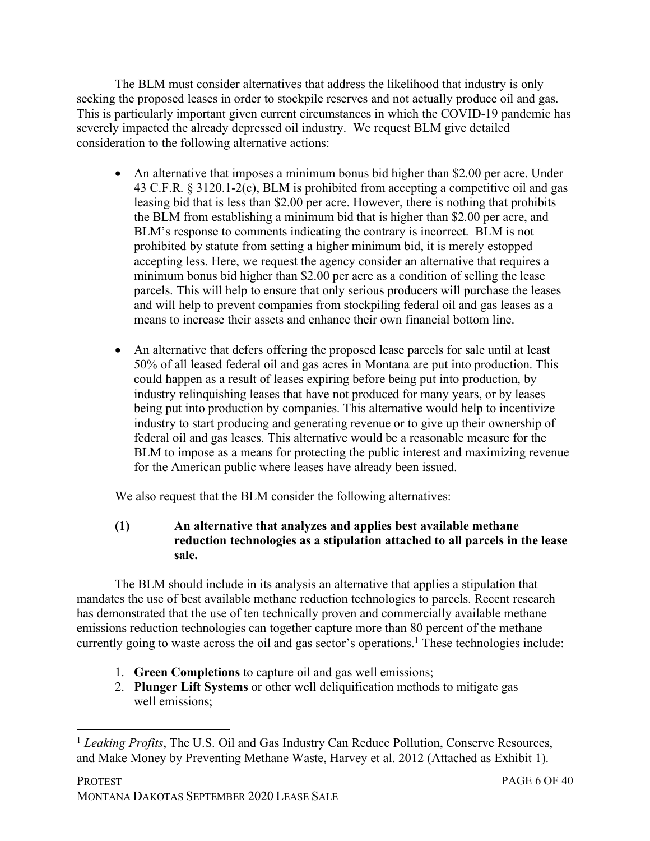The BLM must consider alternatives that address the likelihood that industry is only seeking the proposed leases in order to stockpile reserves and not actually produce oil and gas. This is particularly important given current circumstances in which the COVID-19 pandemic has severely impacted the already depressed oil industry. We request BLM give detailed consideration to the following alternative actions:

- An alternative that imposes a minimum bonus bid higher than \$2.00 per acre. Under 43 C.F.R. § 3120.1-2(c), BLM is prohibited from accepting a competitive oil and gas leasing bid that is less than \$2.00 per acre. However, there is nothing that prohibits the BLM from establishing a minimum bid that is higher than \$2.00 per acre, and BLM's response to comments indicating the contrary is incorrect. BLM is not prohibited by statute from setting a higher minimum bid, it is merely estopped accepting less. Here, we request the agency consider an alternative that requires a minimum bonus bid higher than \$2.00 per acre as a condition of selling the lease parcels. This will help to ensure that only serious producers will purchase the leases and will help to prevent companies from stockpiling federal oil and gas leases as a means to increase their assets and enhance their own financial bottom line.
- An alternative that defers offering the proposed lease parcels for sale until at least 50% of all leased federal oil and gas acres in Montana are put into production. This could happen as a result of leases expiring before being put into production, by industry relinquishing leases that have not produced for many years, or by leases being put into production by companies. This alternative would help to incentivize industry to start producing and generating revenue or to give up their ownership of federal oil and gas leases. This alternative would be a reasonable measure for the BLM to impose as a means for protecting the public interest and maximizing revenue for the American public where leases have already been issued.

We also request that the BLM consider the following alternatives:

## **(1) An alternative that analyzes and applies best available methane reduction technologies as a stipulation attached to all parcels in the lease sale.**

The BLM should include in its analysis an alternative that applies a stipulation that mandates the use of best available methane reduction technologies to parcels. Recent research has demonstrated that the use of ten technically proven and commercially available methane emissions reduction technologies can together capture more than 80 percent of the methane currently going to waste across the oil and gas sector's operations.<sup>1</sup> These technologies include:

- 1. **Green Completions** to capture oil and gas well emissions;
- 2. **Plunger Lift Systems** or other well deliquification methods to mitigate gas well emissions;

<sup>&</sup>lt;sup>1</sup> *Leaking Profits*, The U.S. Oil and Gas Industry Can Reduce Pollution, Conserve Resources, and Make Money by Preventing Methane Waste, Harvey et al. 2012 (Attached as Exhibit 1).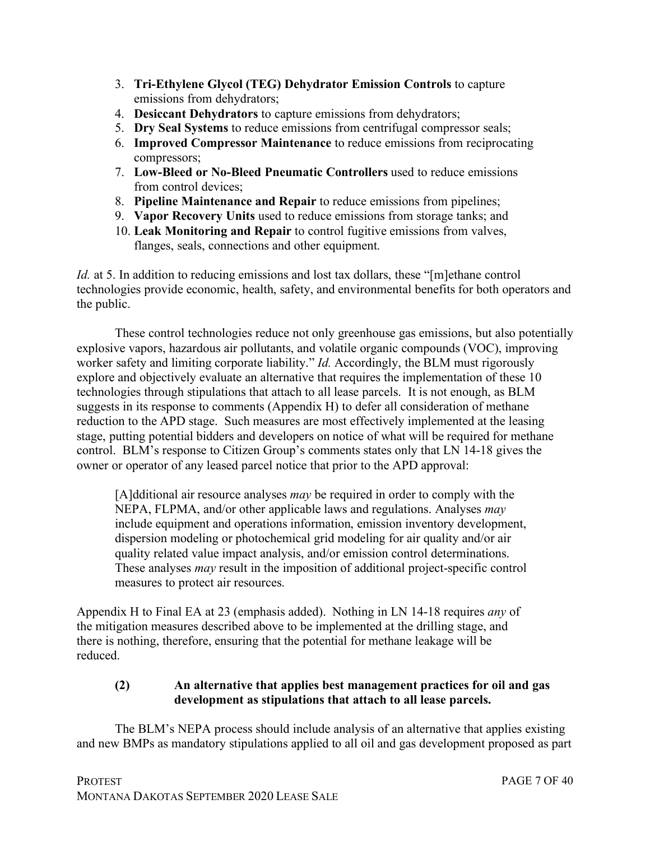- 3. **Tri-Ethylene Glycol (TEG) Dehydrator Emission Controls** to capture emissions from dehydrators;
- 4. **Desiccant Dehydrators** to capture emissions from dehydrators;
- 5. **Dry Seal Systems** to reduce emissions from centrifugal compressor seals;
- 6. **Improved Compressor Maintenance** to reduce emissions from reciprocating compressors;
- 7. **Low-Bleed or No-Bleed Pneumatic Controllers** used to reduce emissions from control devices;
- 8. **Pipeline Maintenance and Repair** to reduce emissions from pipelines;
- 9. **Vapor Recovery Units** used to reduce emissions from storage tanks; and
- 10. **Leak Monitoring and Repair** to control fugitive emissions from valves, flanges, seals, connections and other equipment.

*Id.* at 5. In addition to reducing emissions and lost tax dollars, these "[m]ethane control technologies provide economic, health, safety, and environmental benefits for both operators and the public.

These control technologies reduce not only greenhouse gas emissions, but also potentially explosive vapors, hazardous air pollutants, and volatile organic compounds (VOC), improving worker safety and limiting corporate liability." *Id.* Accordingly, the BLM must rigorously explore and objectively evaluate an alternative that requires the implementation of these 10 technologies through stipulations that attach to all lease parcels. It is not enough, as BLM suggests in its response to comments (Appendix H) to defer all consideration of methane reduction to the APD stage. Such measures are most effectively implemented at the leasing stage, putting potential bidders and developers on notice of what will be required for methane control. BLM's response to Citizen Group's comments states only that LN 14-18 gives the owner or operator of any leased parcel notice that prior to the APD approval:

[A]dditional air resource analyses *may* be required in order to comply with the NEPA, FLPMA, and/or other applicable laws and regulations. Analyses *may* include equipment and operations information, emission inventory development, dispersion modeling or photochemical grid modeling for air quality and/or air quality related value impact analysis, and/or emission control determinations. These analyses *may* result in the imposition of additional project-specific control measures to protect air resources.

Appendix H to Final EA at 23 (emphasis added). Nothing in LN 14-18 requires *any* of the mitigation measures described above to be implemented at the drilling stage, and there is nothing, therefore, ensuring that the potential for methane leakage will be reduced.

## **(2) An alternative that applies best management practices for oil and gas development as stipulations that attach to all lease parcels.**

The BLM's NEPA process should include analysis of an alternative that applies existing and new BMPs as mandatory stipulations applied to all oil and gas development proposed as part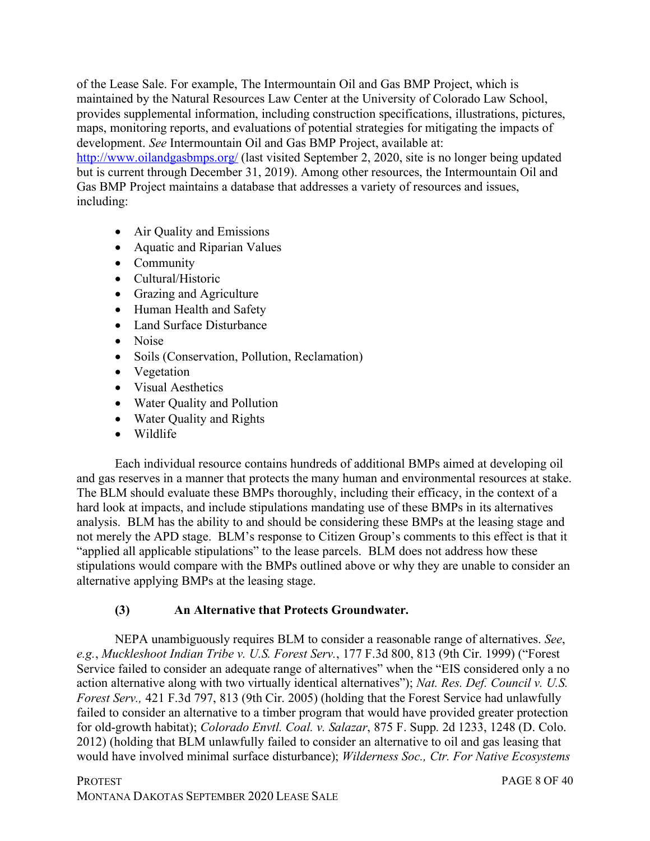of the Lease Sale. For example, The Intermountain Oil and Gas BMP Project, which is maintained by the Natural Resources Law Center at the University of Colorado Law School, provides supplemental information, including construction specifications, illustrations, pictures, maps, monitoring reports, and evaluations of potential strategies for mitigating the impacts of development. *See* Intermountain Oil and Gas BMP Project, available at:

http://www.oilandgasbmps.org/ (last visited September 2, 2020, site is no longer being updated but is current through December 31, 2019). Among other resources, the Intermountain Oil and Gas BMP Project maintains a database that addresses a variety of resources and issues, including:

- Air Quality and Emissions
- Aquatic and Riparian Values
- Community
- Cultural/Historic
- Grazing and Agriculture
- Human Health and Safety
- Land Surface Disturbance
- Noise
- Soils (Conservation, Pollution, Reclamation)
- Vegetation
- Visual Aesthetics
- Water Quality and Pollution
- Water Quality and Rights
- Wildlife

Each individual resource contains hundreds of additional BMPs aimed at developing oil and gas reserves in a manner that protects the many human and environmental resources at stake. The BLM should evaluate these BMPs thoroughly, including their efficacy, in the context of a hard look at impacts, and include stipulations mandating use of these BMPs in its alternatives analysis. BLM has the ability to and should be considering these BMPs at the leasing stage and not merely the APD stage. BLM's response to Citizen Group's comments to this effect is that it "applied all applicable stipulations" to the lease parcels. BLM does not address how these stipulations would compare with the BMPs outlined above or why they are unable to consider an alternative applying BMPs at the leasing stage.

#### **(3) An Alternative that Protects Groundwater.**

NEPA unambiguously requires BLM to consider a reasonable range of alternatives. *See*, *e.g.*, *Muckleshoot Indian Tribe v. U.S. Forest Serv.*, 177 F.3d 800, 813 (9th Cir. 1999) ("Forest Service failed to consider an adequate range of alternatives" when the "EIS considered only a no action alternative along with two virtually identical alternatives"); *Nat. Res. Def. Council v. U.S. Forest Serv.,* 421 F.3d 797, 813 (9th Cir. 2005) (holding that the Forest Service had unlawfully failed to consider an alternative to a timber program that would have provided greater protection for old-growth habitat); *Colorado Envtl. Coal. v. Salazar*, 875 F. Supp. 2d 1233, 1248 (D. Colo. 2012) (holding that BLM unlawfully failed to consider an alternative to oil and gas leasing that would have involved minimal surface disturbance); *Wilderness Soc., Ctr. For Native Ecosystems*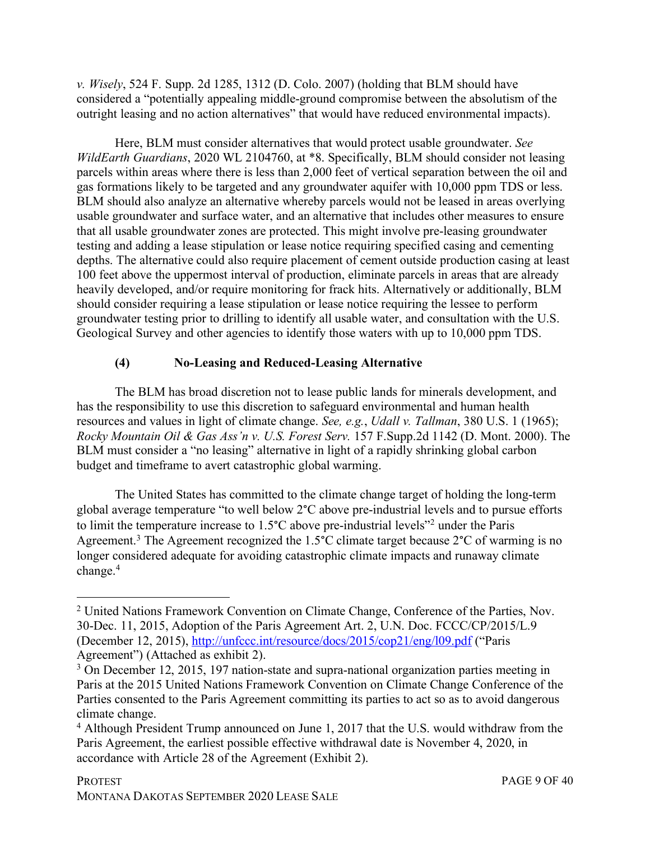*v. Wisely*, 524 F. Supp. 2d 1285, 1312 (D. Colo. 2007) (holding that BLM should have considered a "potentially appealing middle-ground compromise between the absolutism of the outright leasing and no action alternatives" that would have reduced environmental impacts).

Here, BLM must consider alternatives that would protect usable groundwater. *See WildEarth Guardians*, 2020 WL 2104760, at \*8. Specifically, BLM should consider not leasing parcels within areas where there is less than 2,000 feet of vertical separation between the oil and gas formations likely to be targeted and any groundwater aquifer with 10,000 ppm TDS or less. BLM should also analyze an alternative whereby parcels would not be leased in areas overlying usable groundwater and surface water, and an alternative that includes other measures to ensure that all usable groundwater zones are protected. This might involve pre-leasing groundwater testing and adding a lease stipulation or lease notice requiring specified casing and cementing depths. The alternative could also require placement of cement outside production casing at least 100 feet above the uppermost interval of production, eliminate parcels in areas that are already heavily developed, and/or require monitoring for frack hits. Alternatively or additionally, BLM should consider requiring a lease stipulation or lease notice requiring the lessee to perform groundwater testing prior to drilling to identify all usable water, and consultation with the U.S. Geological Survey and other agencies to identify those waters with up to 10,000 ppm TDS.

## **(4) No-Leasing and Reduced-Leasing Alternative**

The BLM has broad discretion not to lease public lands for minerals development, and has the responsibility to use this discretion to safeguard environmental and human health resources and values in light of climate change. *See, e.g.*, *Udall v. Tallman*, 380 U.S. 1 (1965); *Rocky Mountain Oil & Gas Ass'n v. U.S. Forest Serv.* 157 F.Supp.2d 1142 (D. Mont. 2000). The BLM must consider a "no leasing" alternative in light of a rapidly shrinking global carbon budget and timeframe to avert catastrophic global warming.

The United States has committed to the climate change target of holding the long-term global average temperature "to well below 2°C above pre-industrial levels and to pursue efforts to limit the temperature increase to 1.5°C above pre-industrial levels"2 under the Paris Agreement.<sup>3</sup> The Agreement recognized the 1.5°C climate target because 2°C of warming is no longer considered adequate for avoiding catastrophic climate impacts and runaway climate change.4

 <sup>2</sup> United Nations Framework Convention on Climate Change, Conference of the Parties, Nov. 30-Dec. 11, 2015, Adoption of the Paris Agreement Art. 2, U.N. Doc. FCCC/CP/2015/L.9 (December 12, 2015), http://unfccc.int/resource/docs/2015/cop21/eng/l09.pdf ("Paris Agreement") (Attached as exhibit 2).

<sup>&</sup>lt;sup>3</sup> On December 12, 2015, 197 nation-state and supra-national organization parties meeting in Paris at the 2015 United Nations Framework Convention on Climate Change Conference of the Parties consented to the Paris Agreement committing its parties to act so as to avoid dangerous climate change.

<sup>4</sup> Although President Trump announced on June 1, 2017 that the U.S. would withdraw from the Paris Agreement, the earliest possible effective withdrawal date is November 4, 2020, in accordance with Article 28 of the Agreement (Exhibit 2).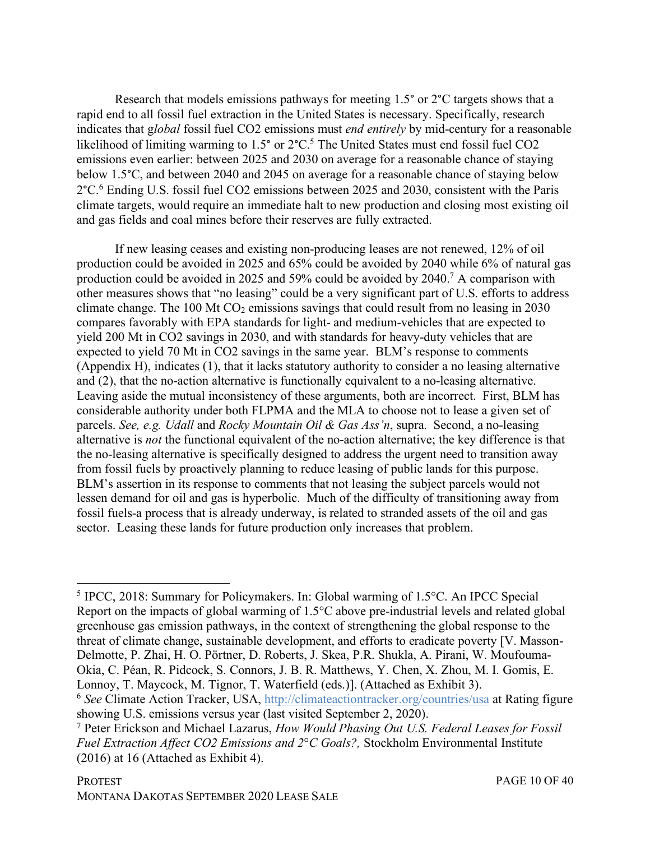Research that models emissions pathways for meeting 1.5° or 2°C targets shows that a rapid end to all fossil fuel extraction in the United States is necessary. Specifically, research indicates that g*lobal* fossil fuel CO2 emissions must *end entirely* by mid-century for a reasonable likelihood of limiting warming to  $1.5^{\circ}$  or  $2^{\circ}$ C.<sup>5</sup> The United States must end fossil fuel CO2 emissions even earlier: between 2025 and 2030 on average for a reasonable chance of staying below 1.5°C, and between 2040 and 2045 on average for a reasonable chance of staying below 2°C.6 Ending U.S. fossil fuel CO2 emissions between 2025 and 2030, consistent with the Paris climate targets, would require an immediate halt to new production and closing most existing oil and gas fields and coal mines before their reserves are fully extracted.

If new leasing ceases and existing non-producing leases are not renewed, 12% of oil production could be avoided in 2025 and 65% could be avoided by 2040 while 6% of natural gas production could be avoided in 2025 and 59% could be avoided by 2040.7 A comparison with other measures shows that "no leasing" could be a very significant part of U.S. efforts to address climate change. The 100 Mt  $CO<sub>2</sub>$  emissions savings that could result from no leasing in 2030 compares favorably with EPA standards for light- and medium-vehicles that are expected to yield 200 Mt in CO2 savings in 2030, and with standards for heavy-duty vehicles that are expected to yield 70 Mt in CO2 savings in the same year. BLM's response to comments (Appendix H), indicates (1), that it lacks statutory authority to consider a no leasing alternative and (2), that the no-action alternative is functionally equivalent to a no-leasing alternative. Leaving aside the mutual inconsistency of these arguments, both are incorrect. First, BLM has considerable authority under both FLPMA and the MLA to choose not to lease a given set of parcels. *See, e.g. Udall* and *Rocky Mountain Oil & Gas Ass'n*, supra. Second, a no-leasing alternative is *not* the functional equivalent of the no-action alternative; the key difference is that the no-leasing alternative is specifically designed to address the urgent need to transition away from fossil fuels by proactively planning to reduce leasing of public lands for this purpose. BLM's assertion in its response to comments that not leasing the subject parcels would not lessen demand for oil and gas is hyperbolic. Much of the difficulty of transitioning away from fossil fuels-a process that is already underway, is related to stranded assets of the oil and gas sector. Leasing these lands for future production only increases that problem.

 <sup>5</sup> IPCC, 2018: Summary for Policymakers. In: Global warming of 1.5°C. An IPCC Special Report on the impacts of global warming of 1.5°C above pre-industrial levels and related global greenhouse gas emission pathways, in the context of strengthening the global response to the threat of climate change, sustainable development, and efforts to eradicate poverty [V. Masson-Delmotte, P. Zhai, H. O. Pörtner, D. Roberts, J. Skea, P.R. Shukla, A. Pirani, W. Moufouma-Okia, C. Péan, R. Pidcock, S. Connors, J. B. R. Matthews, Y. Chen, X. Zhou, M. I. Gomis, E. Lonnoy, T. Maycock, M. Tignor, T. Waterfield (eds.)]. (Attached as Exhibit 3).

<sup>6</sup> *See* Climate Action Tracker, USA, http://climateactiontracker.org/countries/usa at Rating figure showing U.S. emissions versus year (last visited September 2, 2020).

<sup>7</sup> Peter Erickson and Michael Lazarus, *How Would Phasing Out U.S. Federal Leases for Fossil Fuel Extraction Affect CO2 Emissions and 2*°*C Goals?,* Stockholm Environmental Institute (2016) at 16 (Attached as Exhibit 4).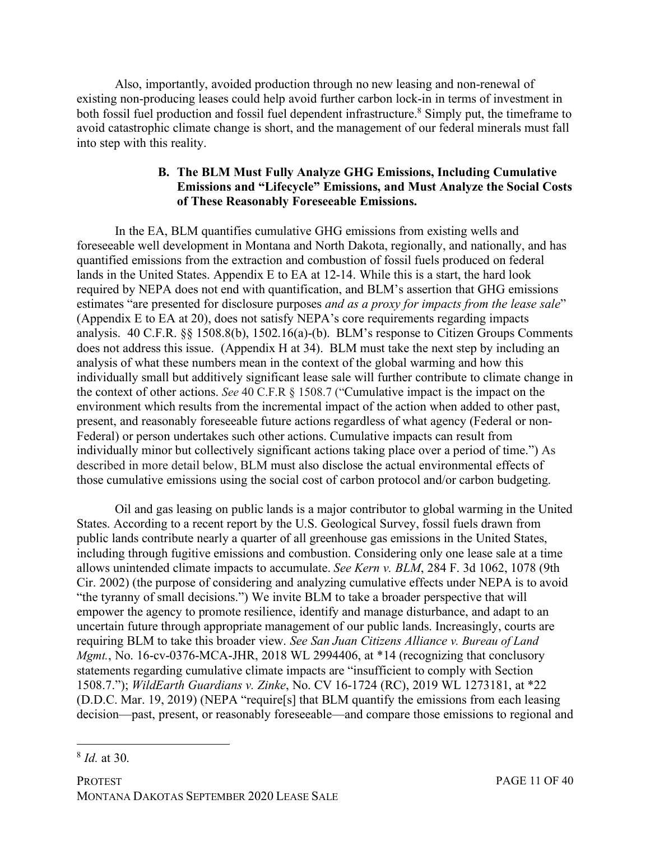Also, importantly, avoided production through no new leasing and non-renewal of existing non-producing leases could help avoid further carbon lock-in in terms of investment in both fossil fuel production and fossil fuel dependent infrastructure.<sup>8</sup> Simply put, the timeframe to avoid catastrophic climate change is short, and the management of our federal minerals must fall into step with this reality.

#### **B. The BLM Must Fully Analyze GHG Emissions, Including Cumulative Emissions and "Lifecycle" Emissions, and Must Analyze the Social Costs of These Reasonably Foreseeable Emissions.**

In the EA, BLM quantifies cumulative GHG emissions from existing wells and foreseeable well development in Montana and North Dakota, regionally, and nationally, and has quantified emissions from the extraction and combustion of fossil fuels produced on federal lands in the United States. Appendix E to EA at 12-14. While this is a start, the hard look required by NEPA does not end with quantification, and BLM's assertion that GHG emissions estimates "are presented for disclosure purposes *and as a proxy for impacts from the lease sale*" (Appendix E to EA at 20), does not satisfy NEPA's core requirements regarding impacts analysis. 40 C.F.R. §§ 1508.8(b), 1502.16(a)-(b). BLM's response to Citizen Groups Comments does not address this issue. (Appendix H at 34). BLM must take the next step by including an analysis of what these numbers mean in the context of the global warming and how this individually small but additively significant lease sale will further contribute to climate change in the context of other actions. *See* 40 C.F.R § 1508.7 ("Cumulative impact is the impact on the environment which results from the incremental impact of the action when added to other past, present, and reasonably foreseeable future actions regardless of what agency (Federal or non-Federal) or person undertakes such other actions. Cumulative impacts can result from individually minor but collectively significant actions taking place over a period of time.") As described in more detail below, BLM must also disclose the actual environmental effects of those cumulative emissions using the social cost of carbon protocol and/or carbon budgeting.

Oil and gas leasing on public lands is a major contributor to global warming in the United States. According to a recent report by the U.S. Geological Survey, fossil fuels drawn from public lands contribute nearly a quarter of all greenhouse gas emissions in the United States, including through fugitive emissions and combustion. Considering only one lease sale at a time allows unintended climate impacts to accumulate. *See Kern v. BLM*, 284 F. 3d 1062, 1078 (9th Cir. 2002) (the purpose of considering and analyzing cumulative effects under NEPA is to avoid "the tyranny of small decisions.") We invite BLM to take a broader perspective that will empower the agency to promote resilience, identify and manage disturbance, and adapt to an uncertain future through appropriate management of our public lands. Increasingly, courts are requiring BLM to take this broader view. *See San Juan Citizens Alliance v. Bureau of Land Mgmt.*, No. 16-cv-0376-MCA-JHR, 2018 WL 2994406, at \*14 (recognizing that conclusory statements regarding cumulative climate impacts are "insufficient to comply with Section 1508.7."); *WildEarth Guardians v. Zinke*, No. CV 16-1724 (RC), 2019 WL 1273181, at \*22 (D.D.C. Mar. 19, 2019) (NEPA "require[s] that BLM quantify the emissions from each leasing decision—past, present, or reasonably foreseeable—and compare those emissions to regional and

 <sup>8</sup> *Id.* at 30.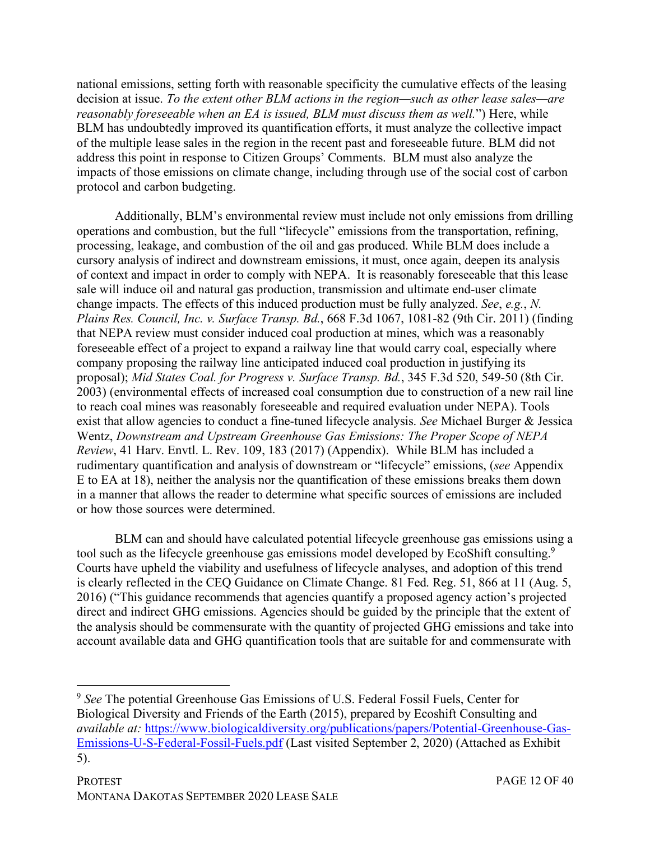national emissions, setting forth with reasonable specificity the cumulative effects of the leasing decision at issue. *To the extent other BLM actions in the region—such as other lease sales—are reasonably foreseeable when an EA is issued, BLM must discuss them as well.*") Here, while BLM has undoubtedly improved its quantification efforts, it must analyze the collective impact of the multiple lease sales in the region in the recent past and foreseeable future. BLM did not address this point in response to Citizen Groups' Comments. BLM must also analyze the impacts of those emissions on climate change, including through use of the social cost of carbon protocol and carbon budgeting.

Additionally, BLM's environmental review must include not only emissions from drilling operations and combustion, but the full "lifecycle" emissions from the transportation, refining, processing, leakage, and combustion of the oil and gas produced. While BLM does include a cursory analysis of indirect and downstream emissions, it must, once again, deepen its analysis of context and impact in order to comply with NEPA. It is reasonably foreseeable that this lease sale will induce oil and natural gas production, transmission and ultimate end-user climate change impacts. The effects of this induced production must be fully analyzed. *See*, *e.g.*, *N. Plains Res. Council, Inc. v. Surface Transp. Bd.*, 668 F.3d 1067, 1081-82 (9th Cir. 2011) (finding that NEPA review must consider induced coal production at mines, which was a reasonably foreseeable effect of a project to expand a railway line that would carry coal, especially where company proposing the railway line anticipated induced coal production in justifying its proposal); *Mid States Coal. for Progress v. Surface Transp. Bd.*, 345 F.3d 520, 549-50 (8th Cir. 2003) (environmental effects of increased coal consumption due to construction of a new rail line to reach coal mines was reasonably foreseeable and required evaluation under NEPA). Tools exist that allow agencies to conduct a fine-tuned lifecycle analysis. *See* Michael Burger & Jessica Wentz, *Downstream and Upstream Greenhouse Gas Emissions: The Proper Scope of NEPA Review*, 41 Harv. Envtl. L. Rev. 109, 183 (2017) (Appendix). While BLM has included a rudimentary quantification and analysis of downstream or "lifecycle" emissions, (*see* Appendix E to EA at 18), neither the analysis nor the quantification of these emissions breaks them down in a manner that allows the reader to determine what specific sources of emissions are included or how those sources were determined.

BLM can and should have calculated potential lifecycle greenhouse gas emissions using a tool such as the lifecycle greenhouse gas emissions model developed by EcoShift consulting.<sup>9</sup> Courts have upheld the viability and usefulness of lifecycle analyses, and adoption of this trend is clearly reflected in the CEQ Guidance on Climate Change. 81 Fed. Reg. 51, 866 at 11 (Aug. 5, 2016) ("This guidance recommends that agencies quantify a proposed agency action's projected direct and indirect GHG emissions. Agencies should be guided by the principle that the extent of the analysis should be commensurate with the quantity of projected GHG emissions and take into account available data and GHG quantification tools that are suitable for and commensurate with

 <sup>9</sup> *See* The potential Greenhouse Gas Emissions of U.S. Federal Fossil Fuels, Center for Biological Diversity and Friends of the Earth (2015), prepared by Ecoshift Consulting and *available at:* https://www.biologicaldiversity.org/publications/papers/Potential-Greenhouse-Gas-Emissions-U-S-Federal-Fossil-Fuels.pdf (Last visited September 2, 2020) (Attached as Exhibit 5).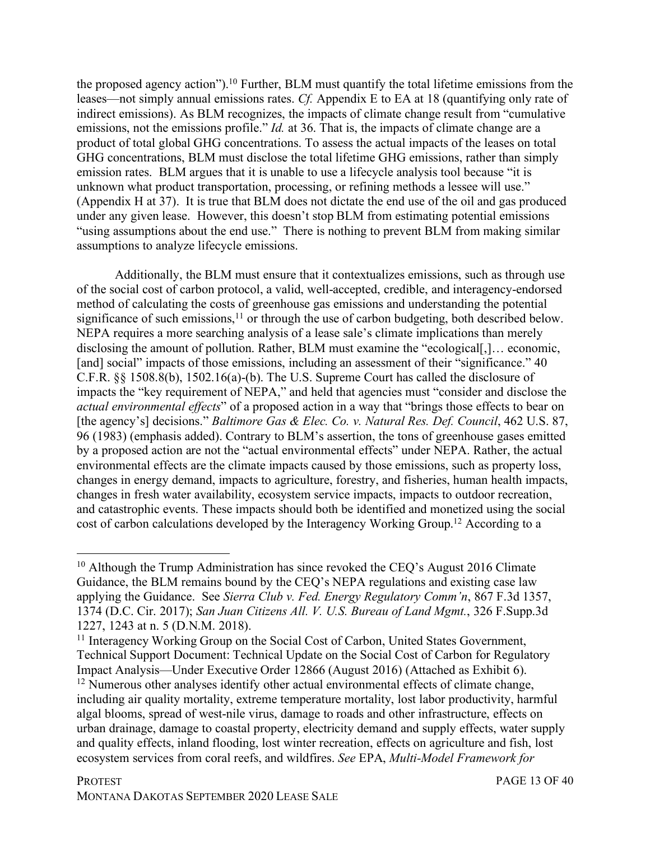the proposed agency action").<sup>10</sup> Further, BLM must quantify the total lifetime emissions from the leases—not simply annual emissions rates. *Cf.* Appendix E to EA at 18 (quantifying only rate of indirect emissions). As BLM recognizes, the impacts of climate change result from "cumulative emissions, not the emissions profile." *Id.* at 36. That is, the impacts of climate change are a product of total global GHG concentrations. To assess the actual impacts of the leases on total GHG concentrations, BLM must disclose the total lifetime GHG emissions, rather than simply emission rates. BLM argues that it is unable to use a lifecycle analysis tool because "it is unknown what product transportation, processing, or refining methods a lessee will use." (Appendix H at 37). It is true that BLM does not dictate the end use of the oil and gas produced under any given lease. However, this doesn't stop BLM from estimating potential emissions "using assumptions about the end use." There is nothing to prevent BLM from making similar assumptions to analyze lifecycle emissions.

Additionally, the BLM must ensure that it contextualizes emissions, such as through use of the social cost of carbon protocol, a valid, well-accepted, credible, and interagency-endorsed method of calculating the costs of greenhouse gas emissions and understanding the potential significance of such emissions,<sup>11</sup> or through the use of carbon budgeting, both described below. NEPA requires a more searching analysis of a lease sale's climate implications than merely disclosing the amount of pollution. Rather, BLM must examine the "ecological..., economic, [and] social" impacts of those emissions, including an assessment of their "significance." 40 C.F.R. §§ 1508.8(b), 1502.16(a)-(b). The U.S. Supreme Court has called the disclosure of impacts the "key requirement of NEPA," and held that agencies must "consider and disclose the *actual environmental effects*" of a proposed action in a way that "brings those effects to bear on [the agency's] decisions." *Baltimore Gas & Elec. Co. v. Natural Res. Def. Council*, 462 U.S. 87, 96 (1983) (emphasis added). Contrary to BLM's assertion, the tons of greenhouse gases emitted by a proposed action are not the "actual environmental effects" under NEPA. Rather, the actual environmental effects are the climate impacts caused by those emissions, such as property loss, changes in energy demand, impacts to agriculture, forestry, and fisheries, human health impacts, changes in fresh water availability, ecosystem service impacts, impacts to outdoor recreation, and catastrophic events. These impacts should both be identified and monetized using the social cost of carbon calculations developed by the Interagency Working Group.12 According to a

<sup>&</sup>lt;sup>10</sup> Although the Trump Administration has since revoked the CEO's August 2016 Climate Guidance, the BLM remains bound by the CEQ's NEPA regulations and existing case law applying the Guidance. See *Sierra Club v. Fed. Energy Regulatory Comm'n*, 867 F.3d 1357, 1374 (D.C. Cir. 2017); *San Juan Citizens All. V. U.S. Bureau of Land Mgmt.*, 326 F.Supp.3d 1227, 1243 at n. 5 (D.N.M. 2018).

<sup>&</sup>lt;sup>11</sup> Interagency Working Group on the Social Cost of Carbon, United States Government, Technical Support Document: Technical Update on the Social Cost of Carbon for Regulatory Impact Analysis—Under Executive Order 12866 (August 2016) (Attached as Exhibit 6). <sup>12</sup> Numerous other analyses identify other actual environmental effects of climate change, including air quality mortality, extreme temperature mortality, lost labor productivity, harmful algal blooms, spread of west-nile virus, damage to roads and other infrastructure, effects on urban drainage, damage to coastal property, electricity demand and supply effects, water supply and quality effects, inland flooding, lost winter recreation, effects on agriculture and fish, lost ecosystem services from coral reefs, and wildfires. *See* EPA, *Multi-Model Framework for*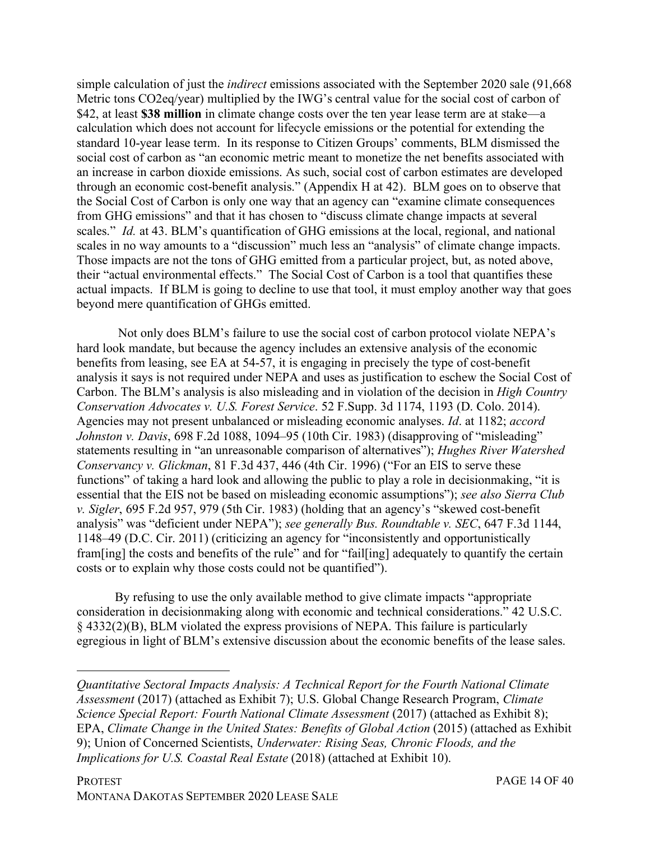simple calculation of just the *indirect* emissions associated with the September 2020 sale (91,668 Metric tons CO2eq/year) multiplied by the IWG's central value for the social cost of carbon of \$42, at least **\$38 million** in climate change costs over the ten year lease term are at stake—a calculation which does not account for lifecycle emissions or the potential for extending the standard 10-year lease term. In its response to Citizen Groups' comments, BLM dismissed the social cost of carbon as "an economic metric meant to monetize the net benefits associated with an increase in carbon dioxide emissions. As such, social cost of carbon estimates are developed through an economic cost-benefit analysis." (Appendix H at 42). BLM goes on to observe that the Social Cost of Carbon is only one way that an agency can "examine climate consequences from GHG emissions" and that it has chosen to "discuss climate change impacts at several scales." *Id.* at 43. BLM's quantification of GHG emissions at the local, regional, and national scales in no way amounts to a "discussion" much less an "analysis" of climate change impacts. Those impacts are not the tons of GHG emitted from a particular project, but, as noted above, their "actual environmental effects." The Social Cost of Carbon is a tool that quantifies these actual impacts. If BLM is going to decline to use that tool, it must employ another way that goes beyond mere quantification of GHGs emitted.

Not only does BLM's failure to use the social cost of carbon protocol violate NEPA's hard look mandate, but because the agency includes an extensive analysis of the economic benefits from leasing, see EA at 54-57, it is engaging in precisely the type of cost-benefit analysis it says is not required under NEPA and uses as justification to eschew the Social Cost of Carbon. The BLM's analysis is also misleading and in violation of the decision in *High Country Conservation Advocates v. U.S. Forest Service*. 52 F.Supp. 3d 1174, 1193 (D. Colo. 2014). Agencies may not present unbalanced or misleading economic analyses. *Id*. at 1182; *accord Johnston v. Davis*, 698 F.2d 1088, 1094–95 (10th Cir. 1983) (disapproving of "misleading" statements resulting in "an unreasonable comparison of alternatives"); *Hughes River Watershed Conservancy v. Glickman*, 81 F.3d 437, 446 (4th Cir. 1996) ("For an EIS to serve these functions" of taking a hard look and allowing the public to play a role in decisionmaking, "it is essential that the EIS not be based on misleading economic assumptions"); *see also Sierra Club v. Sigler*, 695 F.2d 957, 979 (5th Cir. 1983) (holding that an agency's "skewed cost-benefit analysis" was "deficient under NEPA"); *see generally Bus. Roundtable v. SEC*, 647 F.3d 1144, 1148–49 (D.C. Cir. 2011) (criticizing an agency for "inconsistently and opportunistically fram[ing] the costs and benefits of the rule" and for "fail[ing] adequately to quantify the certain costs or to explain why those costs could not be quantified").

By refusing to use the only available method to give climate impacts "appropriate consideration in decisionmaking along with economic and technical considerations." 42 U.S.C. § 4332(2)(B), BLM violated the express provisions of NEPA. This failure is particularly egregious in light of BLM's extensive discussion about the economic benefits of the lease sales.

<u>.</u>

*Quantitative Sectoral Impacts Analysis: A Technical Report for the Fourth National Climate Assessment* (2017) (attached as Exhibit 7); U.S. Global Change Research Program, *Climate Science Special Report: Fourth National Climate Assessment (2017) (attached as Exhibit 8);* EPA, *Climate Change in the United States: Benefits of Global Action* (2015) (attached as Exhibit 9); Union of Concerned Scientists, *Underwater: Rising Seas, Chronic Floods, and the Implications for U.S. Coastal Real Estate* (2018) (attached at Exhibit 10).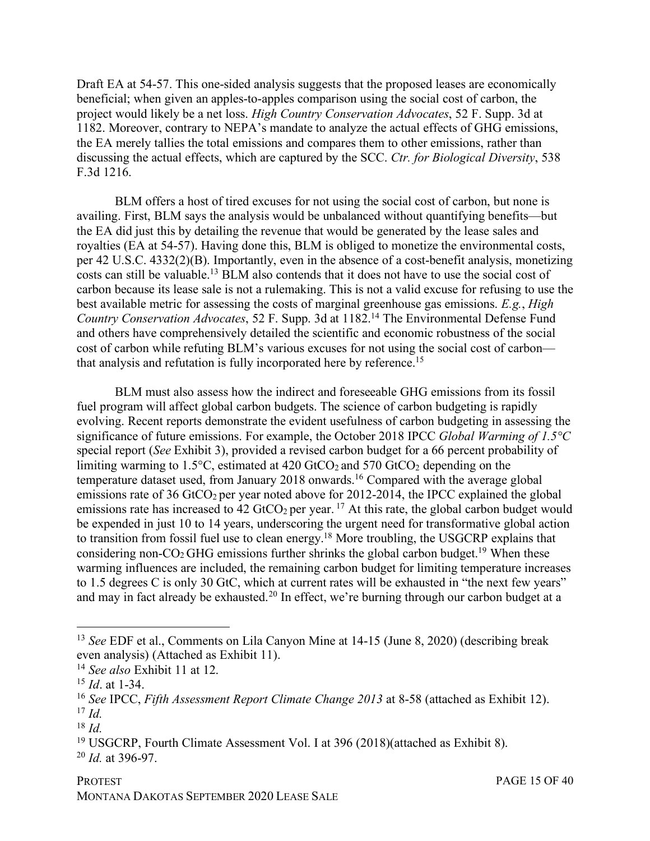Draft EA at 54-57. This one-sided analysis suggests that the proposed leases are economically beneficial; when given an apples-to-apples comparison using the social cost of carbon, the project would likely be a net loss. *High Country Conservation Advocates*, 52 F. Supp. 3d at 1182. Moreover, contrary to NEPA's mandate to analyze the actual effects of GHG emissions, the EA merely tallies the total emissions and compares them to other emissions, rather than discussing the actual effects, which are captured by the SCC. *Ctr. for Biological Diversity*, 538 F.3d 1216.

BLM offers a host of tired excuses for not using the social cost of carbon, but none is availing. First, BLM says the analysis would be unbalanced without quantifying benefits—but the EA did just this by detailing the revenue that would be generated by the lease sales and royalties (EA at 54-57). Having done this, BLM is obliged to monetize the environmental costs, per 42 U.S.C. 4332(2)(B). Importantly, even in the absence of a cost-benefit analysis, monetizing costs can still be valuable.13 BLM also contends that it does not have to use the social cost of carbon because its lease sale is not a rulemaking. This is not a valid excuse for refusing to use the best available metric for assessing the costs of marginal greenhouse gas emissions. *E.g.*, *High Country Conservation Advocates*, 52 F. Supp. 3d at 1182. <sup>14</sup> The Environmental Defense Fund and others have comprehensively detailed the scientific and economic robustness of the social cost of carbon while refuting BLM's various excuses for not using the social cost of carbon that analysis and refutation is fully incorporated here by reference.15

BLM must also assess how the indirect and foreseeable GHG emissions from its fossil fuel program will affect global carbon budgets. The science of carbon budgeting is rapidly evolving. Recent reports demonstrate the evident usefulness of carbon budgeting in assessing the significance of future emissions. For example, the October 2018 IPCC *Global Warming of 1.5°C* special report (*See* Exhibit 3), provided a revised carbon budget for a 66 percent probability of limiting warming to 1.5 $^{\circ}$ C, estimated at 420 GtCO<sub>2</sub> and 570 GtCO<sub>2</sub> depending on the temperature dataset used, from January 2018 onwards.<sup>16</sup> Compared with the average global emissions rate of 36 GtCO<sub>2</sub> per year noted above for 2012-2014, the IPCC explained the global emissions rate has increased to 42 GtCO<sub>2</sub> per year.<sup>17</sup> At this rate, the global carbon budget would be expended in just 10 to 14 years, underscoring the urgent need for transformative global action to transition from fossil fuel use to clean energy.18 More troubling, the USGCRP explains that considering non- $CO<sub>2</sub>$  GHG emissions further shrinks the global carbon budget.<sup>19</sup> When these warming influences are included, the remaining carbon budget for limiting temperature increases to 1.5 degrees C is only 30 GtC, which at current rates will be exhausted in "the next few years" and may in fact already be exhausted.20 In effect, we're burning through our carbon budget at a

 <sup>13</sup> *See* EDF et al., Comments on Lila Canyon Mine at 14-15 (June 8, 2020) (describing break even analysis) (Attached as Exhibit 11).

<sup>14</sup> *See also* Exhibit 11 at 12.

<sup>15</sup> *Id*. at 1-34.

<sup>16</sup> *See* IPCC, *Fifth Assessment Report Climate Change 2013* at 8-58 (attached as Exhibit 12). <sup>17</sup> *Id.*

<sup>18</sup> *Id.*

<sup>19</sup> USGCRP, Fourth Climate Assessment Vol. I at 396 (2018)(attached as Exhibit 8).

<sup>20</sup> *Id.* at 396-97.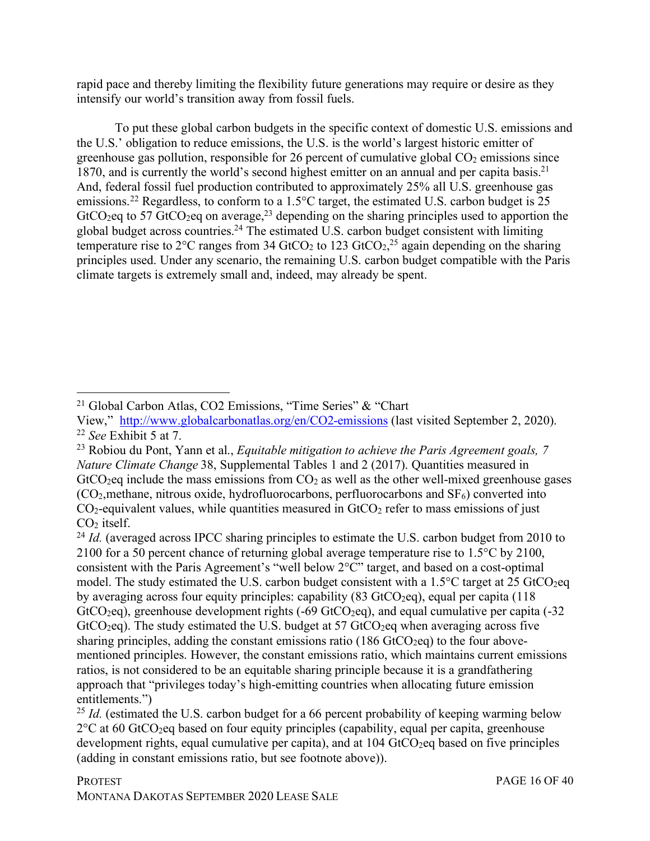rapid pace and thereby limiting the flexibility future generations may require or desire as they intensify our world's transition away from fossil fuels.

To put these global carbon budgets in the specific context of domestic U.S. emissions and the U.S.' obligation to reduce emissions, the U.S. is the world's largest historic emitter of greenhouse gas pollution, responsible for 26 percent of cumulative global  $CO<sub>2</sub>$  emissions since 1870, and is currently the world's second highest emitter on an annual and per capita basis.<sup>21</sup> And, federal fossil fuel production contributed to approximately 25% all U.S. greenhouse gas emissions.<sup>22</sup> Regardless, to conform to a 1.5<sup>o</sup>C target, the estimated U.S. carbon budget is 25  $GtCO<sub>2</sub>$ eq to 57  $GtCO<sub>2</sub>$ eq on average,<sup>23</sup> depending on the sharing principles used to apportion the global budget across countries.<sup>24</sup> The estimated U.S. carbon budget consistent with limiting temperature rise to  $2^{\circ}$ C ranges from 34 GtCO<sub>2</sub> to 123 GtCO<sub>2</sub>,<sup>25</sup> again depending on the sharing principles used. Under any scenario, the remaining U.S. carbon budget compatible with the Paris climate targets is extremely small and, indeed, may already be spent.

 <sup>21</sup> Global Carbon Atlas, CO2 Emissions, "Time Series" & "Chart

View," http://www.globalcarbonatlas.org/en/CO2-emissions (last visited September 2, 2020). <sup>22</sup> *See* Exhibit 5 at 7.

<sup>23</sup> Robiou du Pont, Yann et al., *Equitable mitigation to achieve the Paris Agreement goals, 7 Nature Climate Change* 38, Supplemental Tables 1 and 2 (2017). Quantities measured in  $GtCO<sub>2</sub>$ eq include the mass emissions from  $CO<sub>2</sub>$  as well as the other well-mixed greenhouse gases  $(CO<sub>2</sub>)$ , methane, nitrous oxide, hydrofluorocarbons, perfluorocarbons and  $SF<sub>6</sub>$ ) converted into  $CO<sub>2</sub>$ -equivalent values, while quantities measured in  $G<sub>1</sub>CO<sub>2</sub>$  refer to mass emissions of just CO2 itself.

<sup>&</sup>lt;sup>24</sup> *Id.* (averaged across IPCC sharing principles to estimate the U.S. carbon budget from 2010 to 2100 for a 50 percent chance of returning global average temperature rise to 1.5°C by 2100, consistent with the Paris Agreement's "well below 2°C" target, and based on a cost-optimal model. The study estimated the U.S. carbon budget consistent with a  $1.5^{\circ}$ C target at 25 GtCO<sub>2</sub>eq by averaging across four equity principles: capability  $(83 \text{ GtCO}_2$ eq), equal per capita (118) GtCO<sub>2</sub>eq), greenhouse development rights  $(-69 \text{ GtCO}_2)$ , and equal cumulative per capita  $(-32 \text{ GtCO}_2)$  $GtCO<sub>2</sub>eq$ ). The study estimated the U.S. budget at 57  $GtCO<sub>2</sub>eq$  when averaging across five sharing principles, adding the constant emissions ratio (186 GtCO<sub>2</sub>eq) to the four abovementioned principles. However, the constant emissions ratio, which maintains current emissions ratios, is not considered to be an equitable sharing principle because it is a grandfathering approach that "privileges today's high-emitting countries when allocating future emission entitlements.")

<sup>&</sup>lt;sup>25</sup> *Id.* (estimated the U.S. carbon budget for a 66 percent probability of keeping warming below  $2^{\circ}$ C at 60 GtCO<sub>2</sub>eq based on four equity principles (capability, equal per capita, greenhouse development rights, equal cumulative per capita), and at  $104 \text{ GtCO}_2$ eq based on five principles (adding in constant emissions ratio, but see footnote above)).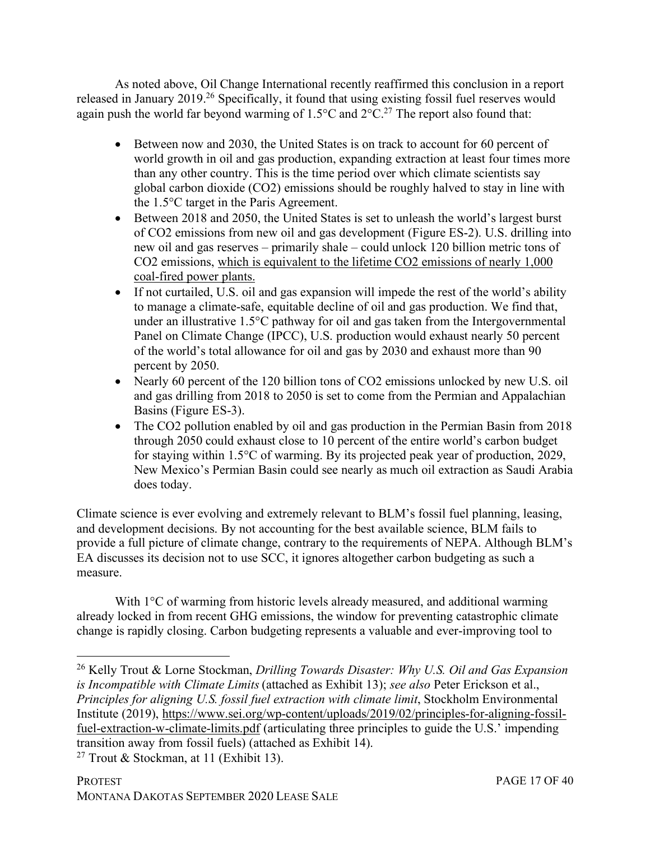As noted above, Oil Change International recently reaffirmed this conclusion in a report released in January 2019.26 Specifically, it found that using existing fossil fuel reserves would again push the world far beyond warming of  $1.5^{\circ}$ C and  $2^{\circ}$ C.<sup>27</sup> The report also found that:

- Between now and 2030, the United States is on track to account for 60 percent of world growth in oil and gas production, expanding extraction at least four times more than any other country. This is the time period over which climate scientists say global carbon dioxide (CO2) emissions should be roughly halved to stay in line with the 1.5°C target in the Paris Agreement.
- Between 2018 and 2050, the United States is set to unleash the world's largest burst of CO2 emissions from new oil and gas development (Figure ES-2). U.S. drilling into new oil and gas reserves – primarily shale – could unlock 120 billion metric tons of CO2 emissions, which is equivalent to the lifetime CO2 emissions of nearly 1,000 coal-fired power plants.
- If not curtailed, U.S. oil and gas expansion will impede the rest of the world's ability to manage a climate-safe, equitable decline of oil and gas production. We find that, under an illustrative 1.5°C pathway for oil and gas taken from the Intergovernmental Panel on Climate Change (IPCC), U.S. production would exhaust nearly 50 percent of the world's total allowance for oil and gas by 2030 and exhaust more than 90 percent by 2050.
- Nearly 60 percent of the 120 billion tons of CO2 emissions unlocked by new U.S. oil and gas drilling from 2018 to 2050 is set to come from the Permian and Appalachian Basins (Figure ES-3).
- The CO2 pollution enabled by oil and gas production in the Permian Basin from 2018 through 2050 could exhaust close to 10 percent of the entire world's carbon budget for staying within 1.5°C of warming. By its projected peak year of production, 2029, New Mexico's Permian Basin could see nearly as much oil extraction as Saudi Arabia does today.

Climate science is ever evolving and extremely relevant to BLM's fossil fuel planning, leasing, and development decisions. By not accounting for the best available science, BLM fails to provide a full picture of climate change, contrary to the requirements of NEPA. Although BLM's EA discusses its decision not to use SCC, it ignores altogether carbon budgeting as such a measure.

With 1<sup>o</sup>C of warming from historic levels already measured, and additional warming already locked in from recent GHG emissions, the window for preventing catastrophic climate change is rapidly closing. Carbon budgeting represents a valuable and ever-improving tool to

 <sup>26</sup> Kelly Trout & Lorne Stockman, *Drilling Towards Disaster: Why U.S. Oil and Gas Expansion is Incompatible with Climate Limits*(attached as Exhibit 13); *see also* Peter Erickson et al., *Principles for aligning U.S. fossil fuel extraction with climate limit*, Stockholm Environmental Institute (2019), https://www.sei.org/wp-content/uploads/2019/02/principles-for-aligning-fossilfuel-extraction-w-climate-limits.pdf (articulating three principles to guide the U.S.' impending transition away from fossil fuels) (attached as Exhibit 14).

<sup>&</sup>lt;sup>27</sup> Trout & Stockman, at 11 (Exhibit 13).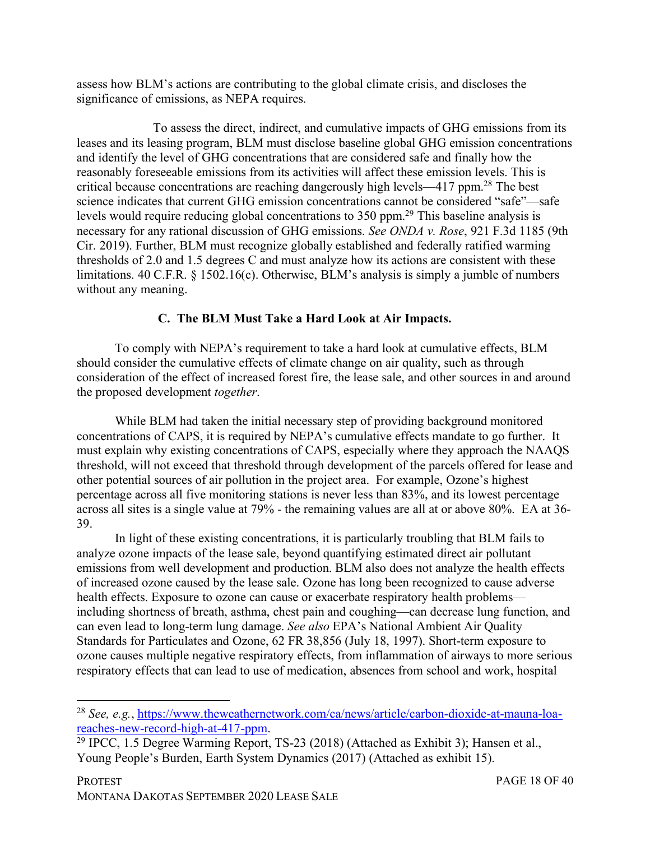assess how BLM's actions are contributing to the global climate crisis, and discloses the significance of emissions, as NEPA requires.

To assess the direct, indirect, and cumulative impacts of GHG emissions from its leases and its leasing program, BLM must disclose baseline global GHG emission concentrations and identify the level of GHG concentrations that are considered safe and finally how the reasonably foreseeable emissions from its activities will affect these emission levels. This is critical because concentrations are reaching dangerously high levels—417 ppm.28 The best science indicates that current GHG emission concentrations cannot be considered "safe"—safe levels would require reducing global concentrations to 350 ppm.29 This baseline analysis is necessary for any rational discussion of GHG emissions. *See ONDA v. Rose*, 921 F.3d 1185 (9th Cir. 2019). Further, BLM must recognize globally established and federally ratified warming thresholds of 2.0 and 1.5 degrees C and must analyze how its actions are consistent with these limitations. 40 C.F.R. § 1502.16(c). Otherwise, BLM's analysis is simply a jumble of numbers without any meaning.

## **C. The BLM Must Take a Hard Look at Air Impacts.**

To comply with NEPA's requirement to take a hard look at cumulative effects, BLM should consider the cumulative effects of climate change on air quality, such as through consideration of the effect of increased forest fire, the lease sale, and other sources in and around the proposed development *together*.

While BLM had taken the initial necessary step of providing background monitored concentrations of CAPS, it is required by NEPA's cumulative effects mandate to go further. It must explain why existing concentrations of CAPS, especially where they approach the NAAQS threshold, will not exceed that threshold through development of the parcels offered for lease and other potential sources of air pollution in the project area. For example, Ozone's highest percentage across all five monitoring stations is never less than 83%, and its lowest percentage across all sites is a single value at 79% - the remaining values are all at or above 80%. EA at 36- 39.

In light of these existing concentrations, it is particularly troubling that BLM fails to analyze ozone impacts of the lease sale, beyond quantifying estimated direct air pollutant emissions from well development and production. BLM also does not analyze the health effects of increased ozone caused by the lease sale. Ozone has long been recognized to cause adverse health effects. Exposure to ozone can cause or exacerbate respiratory health problems including shortness of breath, asthma, chest pain and coughing—can decrease lung function, and can even lead to long-term lung damage. *See also* EPA's National Ambient Air Quality Standards for Particulates and Ozone, 62 FR 38,856 (July 18, 1997). Short-term exposure to ozone causes multiple negative respiratory effects, from inflammation of airways to more serious respiratory effects that can lead to use of medication, absences from school and work, hospital

<sup>&</sup>lt;sup>28</sup> *See, e.g.*, https://www.theweathernetwork.com/ca/news/article/carbon-dioxide-at-mauna-loa-reaches-new-record-high-at-417-ppm.

 $\overline{^{29} \text{ IPCC}}$ , 1.5 Degree Warming Report, TS-23 (2018) (Attached as Exhibit 3); Hansen et al., Young People's Burden, Earth System Dynamics (2017) (Attached as exhibit 15).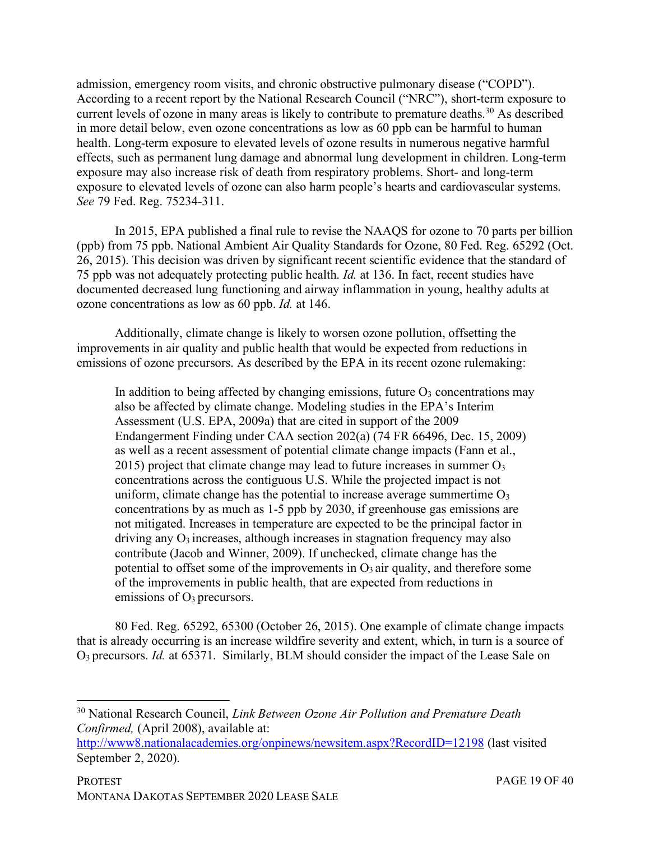admission, emergency room visits, and chronic obstructive pulmonary disease ("COPD"). According to a recent report by the National Research Council ("NRC"), short-term exposure to current levels of ozone in many areas is likely to contribute to premature deaths.<sup>30</sup> As described in more detail below, even ozone concentrations as low as 60 ppb can be harmful to human health. Long-term exposure to elevated levels of ozone results in numerous negative harmful effects, such as permanent lung damage and abnormal lung development in children. Long-term exposure may also increase risk of death from respiratory problems. Short- and long-term exposure to elevated levels of ozone can also harm people's hearts and cardiovascular systems. *See* 79 Fed. Reg. 75234-311.

In 2015, EPA published a final rule to revise the NAAQS for ozone to 70 parts per billion (ppb) from 75 ppb. National Ambient Air Quality Standards for Ozone, 80 Fed. Reg. 65292 (Oct. 26, 2015). This decision was driven by significant recent scientific evidence that the standard of 75 ppb was not adequately protecting public health. *Id.* at 136. In fact, recent studies have documented decreased lung functioning and airway inflammation in young, healthy adults at ozone concentrations as low as 60 ppb. *Id.* at 146.

Additionally, climate change is likely to worsen ozone pollution, offsetting the improvements in air quality and public health that would be expected from reductions in emissions of ozone precursors. As described by the EPA in its recent ozone rulemaking:

In addition to being affected by changing emissions, future  $O_3$  concentrations may also be affected by climate change. Modeling studies in the EPA's Interim Assessment (U.S. EPA, 2009a) that are cited in support of the 2009 Endangerment Finding under CAA section 202(a) (74 FR 66496, Dec. 15, 2009) as well as a recent assessment of potential climate change impacts (Fann et al., 2015) project that climate change may lead to future increases in summer O3 concentrations across the contiguous U.S. While the projected impact is not uniform, climate change has the potential to increase average summertime  $O<sub>3</sub>$ concentrations by as much as 1-5 ppb by 2030, if greenhouse gas emissions are not mitigated. Increases in temperature are expected to be the principal factor in driving any  $O_3$  increases, although increases in stagnation frequency may also contribute (Jacob and Winner, 2009). If unchecked, climate change has the potential to offset some of the improvements in  $O_3$  air quality, and therefore some of the improvements in public health, that are expected from reductions in emissions of O3 precursors.

80 Fed. Reg. 65292, 65300 (October 26, 2015). One example of climate change impacts that is already occurring is an increase wildfire severity and extent, which, in turn is a source of O3 precursors. *Id.* at 65371. Similarly, BLM should consider the impact of the Lease Sale on

 <sup>30</sup> National Research Council, *Link Between Ozone Air Pollution and Premature Death Confirmed,* (April 2008), available at:

http://www8.nationalacademies.org/onpinews/newsitem.aspx?RecordID=12198 (last visited September 2, 2020).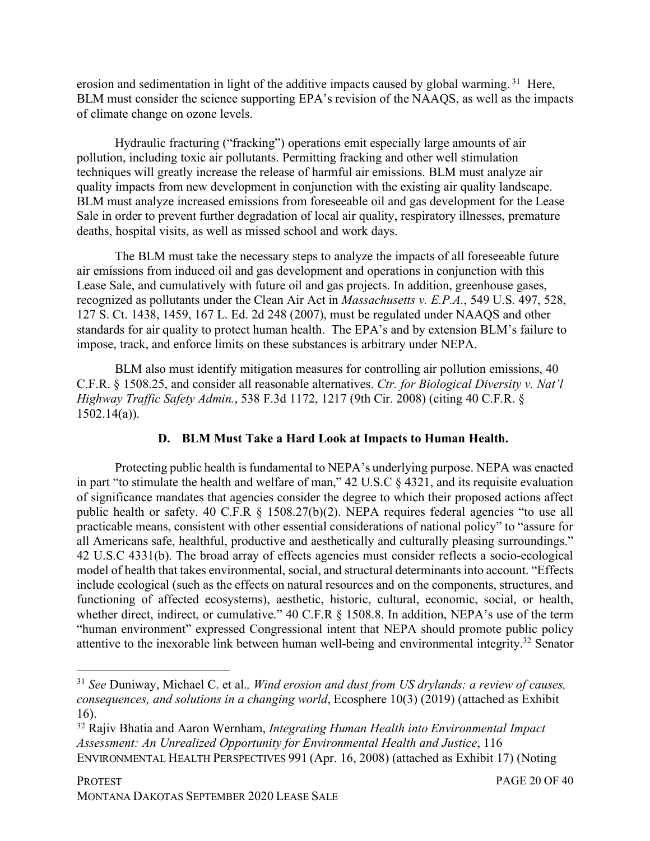erosion and sedimentation in light of the additive impacts caused by global warming.<sup>31</sup> Here, BLM must consider the science supporting EPA's revision of the NAAQS, as well as the impacts of climate change on ozone levels.

Hydraulic fracturing ("fracking") operations emit especially large amounts of air pollution, including toxic air pollutants. Permitting fracking and other well stimulation techniques will greatly increase the release of harmful air emissions. BLM must analyze air quality impacts from new development in conjunction with the existing air quality landscape. BLM must analyze increased emissions from foreseeable oil and gas development for the Lease Sale in order to prevent further degradation of local air quality, respiratory illnesses, premature deaths, hospital visits, as well as missed school and work days.

The BLM must take the necessary steps to analyze the impacts of all foreseeable future air emissions from induced oil and gas development and operations in conjunction with this Lease Sale, and cumulatively with future oil and gas projects. In addition, greenhouse gases, recognized as pollutants under the Clean Air Act in *Massachusetts v. E.P.A.*, 549 U.S. 497, 528, 127 S. Ct. 1438, 1459, 167 L. Ed. 2d 248 (2007), must be regulated under NAAQS and other standards for air quality to protect human health. The EPA's and by extension BLM's failure to impose, track, and enforce limits on these substances is arbitrary under NEPA.

BLM also must identify mitigation measures for controlling air pollution emissions, 40 C.F.R. § 1508.25, and consider all reasonable alternatives. *Ctr. for Biological Diversity v. Nat'l Highway Traffic Safety Admin.*, 538 F.3d 1172, 1217 (9th Cir. 2008) (citing 40 C.F.R. § 1502.14(a)).

# **D. BLM Must Take a Hard Look at Impacts to Human Health.**

Protecting public health is fundamental to NEPA's underlying purpose. NEPA was enacted in part "to stimulate the health and welfare of man," 42 U.S.C § 4321, and its requisite evaluation of significance mandates that agencies consider the degree to which their proposed actions affect public health or safety. 40 C.F.R § 1508.27(b)(2). NEPA requires federal agencies "to use all practicable means, consistent with other essential considerations of national policy" to "assure for all Americans safe, healthful, productive and aesthetically and culturally pleasing surroundings." 42 U.S.C 4331(b). The broad array of effects agencies must consider reflects a socio-ecological model of health that takes environmental, social, and structural determinants into account. "Effects include ecological (such as the effects on natural resources and on the components, structures, and functioning of affected ecosystems), aesthetic, historic, cultural, economic, social, or health, whether direct, indirect, or cumulative." 40 C.F.R § 1508.8. In addition, NEPA's use of the term "human environment" expressed Congressional intent that NEPA should promote public policy attentive to the inexorable link between human well-being and environmental integrity.32 Senator

 <sup>31</sup> *See* Duniway, Michael C. et al.*, Wind erosion and dust from US drylands: a review of causes, consequences, and solutions in a changing world*, Ecosphere 10(3) (2019) (attached as Exhibit 16).

<sup>32</sup> Rajiv Bhatia and Aaron Wernham, *Integrating Human Health into Environmental Impact Assessment: An Unrealized Opportunity for Environmental Health and Justice*, 116 ENVIRONMENTAL HEALTH PERSPECTIVES 991 (Apr. 16, 2008) (attached as Exhibit 17) (Noting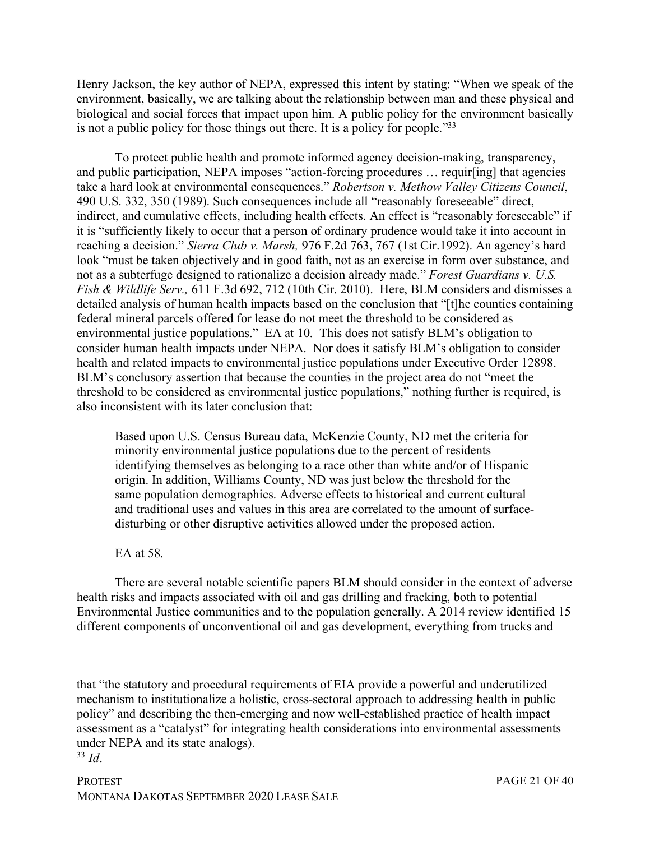Henry Jackson, the key author of NEPA, expressed this intent by stating: "When we speak of the environment, basically, we are talking about the relationship between man and these physical and biological and social forces that impact upon him. A public policy for the environment basically is not a public policy for those things out there. It is a policy for people."33

To protect public health and promote informed agency decision-making, transparency, and public participation, NEPA imposes "action-forcing procedures … requir[ing] that agencies take a hard look at environmental consequences." *Robertson v. Methow Valley Citizens Council*, 490 U.S. 332, 350 (1989). Such consequences include all "reasonably foreseeable" direct, indirect, and cumulative effects, including health effects. An effect is "reasonably foreseeable" if it is "sufficiently likely to occur that a person of ordinary prudence would take it into account in reaching a decision." *Sierra Club v. Marsh,* 976 F.2d 763, 767 (1st Cir.1992). An agency's hard look "must be taken objectively and in good faith, not as an exercise in form over substance, and not as a subterfuge designed to rationalize a decision already made." *Forest Guardians v. U.S. Fish & Wildlife Serv.,* 611 F.3d 692, 712 (10th Cir. 2010). Here, BLM considers and dismisses a detailed analysis of human health impacts based on the conclusion that "[t]he counties containing federal mineral parcels offered for lease do not meet the threshold to be considered as environmental justice populations." EA at 10. This does not satisfy BLM's obligation to consider human health impacts under NEPA. Nor does it satisfy BLM's obligation to consider health and related impacts to environmental justice populations under Executive Order 12898. BLM's conclusory assertion that because the counties in the project area do not "meet the threshold to be considered as environmental justice populations," nothing further is required, is also inconsistent with its later conclusion that:

Based upon U.S. Census Bureau data, McKenzie County, ND met the criteria for minority environmental justice populations due to the percent of residents identifying themselves as belonging to a race other than white and/or of Hispanic origin. In addition, Williams County, ND was just below the threshold for the same population demographics. Adverse effects to historical and current cultural and traditional uses and values in this area are correlated to the amount of surfacedisturbing or other disruptive activities allowed under the proposed action.

EA at 58.

There are several notable scientific papers BLM should consider in the context of adverse health risks and impacts associated with oil and gas drilling and fracking, both to potential Environmental Justice communities and to the population generally. A 2014 review identified 15 different components of unconventional oil and gas development, everything from trucks and

<u>.</u>

that "the statutory and procedural requirements of EIA provide a powerful and underutilized mechanism to institutionalize a holistic, cross-sectoral approach to addressing health in public policy" and describing the then-emerging and now well-established practice of health impact assessment as a "catalyst" for integrating health considerations into environmental assessments under NEPA and its state analogs).

<sup>33</sup> *Id*.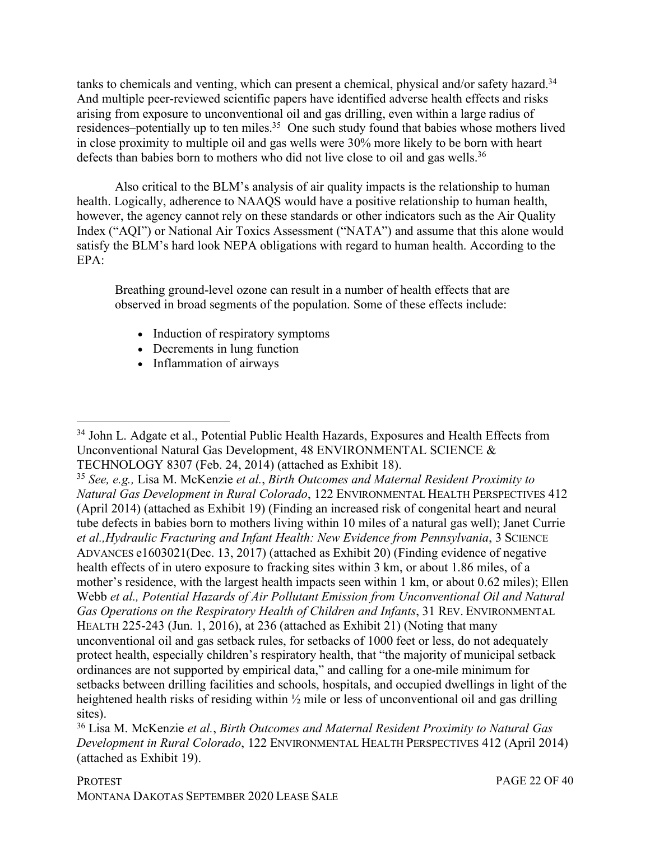tanks to chemicals and venting, which can present a chemical, physical and/or safety hazard.<sup>34</sup> And multiple peer-reviewed scientific papers have identified adverse health effects and risks arising from exposure to unconventional oil and gas drilling, even within a large radius of residences–potentially up to ten miles.<sup>35</sup> One such study found that babies whose mothers lived in close proximity to multiple oil and gas wells were 30% more likely to be born with heart defects than babies born to mothers who did not live close to oil and gas wells.<sup>36</sup>

Also critical to the BLM's analysis of air quality impacts is the relationship to human health. Logically, adherence to NAAQS would have a positive relationship to human health, however, the agency cannot rely on these standards or other indicators such as the Air Quality Index ("AQI") or National Air Toxics Assessment ("NATA") and assume that this alone would satisfy the BLM's hard look NEPA obligations with regard to human health. According to the  $EPA$ 

Breathing ground-level ozone can result in a number of health effects that are observed in broad segments of the population. Some of these effects include:

- Induction of respiratory symptoms
- Decrements in lung function
- Inflammation of airways

<sup>&</sup>lt;sup>34</sup> John L. Adgate et al., Potential Public Health Hazards, Exposures and Health Effects from Unconventional Natural Gas Development, 48 ENVIRONMENTAL SCIENCE & TECHNOLOGY 8307 (Feb. 24, 2014) (attached as Exhibit 18).

<sup>35</sup> *See, e.g.,* Lisa M. McKenzie *et al.*, *Birth Outcomes and Maternal Resident Proximity to Natural Gas Development in Rural Colorado*, 122 ENVIRONMENTAL HEALTH PERSPECTIVES 412 (April 2014) (attached as Exhibit 19) (Finding an increased risk of congenital heart and neural tube defects in babies born to mothers living within 10 miles of a natural gas well); Janet Currie *et al.,Hydraulic Fracturing and Infant Health: New Evidence from Pennsylvania*, 3 SCIENCE ADVANCES e1603021(Dec. 13, 2017) (attached as Exhibit 20) (Finding evidence of negative health effects of in utero exposure to fracking sites within 3 km, or about 1.86 miles, of a mother's residence, with the largest health impacts seen within 1 km, or about 0.62 miles); Ellen Webb *et al., Potential Hazards of Air Pollutant Emission from Unconventional Oil and Natural Gas Operations on the Respiratory Health of Children and Infants*, 31 REV. ENVIRONMENTAL HEALTH 225-243 (Jun. 1, 2016), at 236 (attached as Exhibit 21) (Noting that many unconventional oil and gas setback rules, for setbacks of 1000 feet or less, do not adequately protect health, especially children's respiratory health, that "the majority of municipal setback ordinances are not supported by empirical data," and calling for a one-mile minimum for setbacks between drilling facilities and schools, hospitals, and occupied dwellings in light of the heightened health risks of residing within ½ mile or less of unconventional oil and gas drilling sites).

<sup>36</sup> Lisa M. McKenzie *et al.*, *Birth Outcomes and Maternal Resident Proximity to Natural Gas Development in Rural Colorado*, 122 ENVIRONMENTAL HEALTH PERSPECTIVES 412 (April 2014) (attached as Exhibit 19).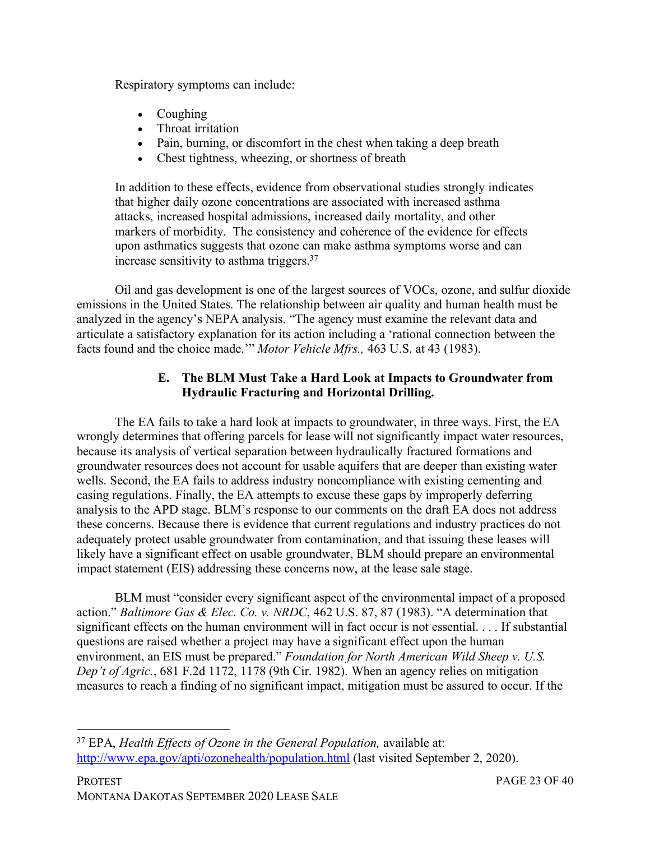Respiratory symptoms can include:

- Coughing
- Throat irritation
- Pain, burning, or discomfort in the chest when taking a deep breath
- Chest tightness, wheezing, or shortness of breath

In addition to these effects, evidence from observational studies strongly indicates that higher daily ozone concentrations are associated with increased asthma attacks, increased hospital admissions, increased daily mortality, and other markers of morbidity. The consistency and coherence of the evidence for effects upon asthmatics suggests that ozone can make asthma symptoms worse and can increase sensitivity to asthma triggers.37

Oil and gas development is one of the largest sources of VOCs, ozone, and sulfur dioxide emissions in the United States. The relationship between air quality and human health must be analyzed in the agency's NEPA analysis. "The agency must examine the relevant data and articulate a satisfactory explanation for its action including a 'rational connection between the facts found and the choice made.'" *Motor Vehicle Mfrs.,* 463 U.S. at 43 (1983).

## **E. The BLM Must Take a Hard Look at Impacts to Groundwater from Hydraulic Fracturing and Horizontal Drilling.**

The EA fails to take a hard look at impacts to groundwater, in three ways. First, the EA wrongly determines that offering parcels for lease will not significantly impact water resources, because its analysis of vertical separation between hydraulically fractured formations and groundwater resources does not account for usable aquifers that are deeper than existing water wells. Second, the EA fails to address industry noncompliance with existing cementing and casing regulations. Finally, the EA attempts to excuse these gaps by improperly deferring analysis to the APD stage. BLM's response to our comments on the draft EA does not address these concerns. Because there is evidence that current regulations and industry practices do not adequately protect usable groundwater from contamination, and that issuing these leases will likely have a significant effect on usable groundwater, BLM should prepare an environmental impact statement (EIS) addressing these concerns now, at the lease sale stage.

BLM must "consider every significant aspect of the environmental impact of a proposed action." *Baltimore Gas & Elec. Co. v. NRDC*, 462 U.S. 87, 87 (1983). "A determination that significant effects on the human environment will in fact occur is not essential. . . . If substantial questions are raised whether a project may have a significant effect upon the human environment, an EIS must be prepared." *Foundation for North American Wild Sheep v. U.S. Dep't of Agric.*, 681 F.2d 1172, 1178 (9th Cir. 1982). When an agency relies on mitigation measures to reach a finding of no significant impact, mitigation must be assured to occur. If the

 37 EPA, *Health Effects of Ozone in the General Population,* available at: http://www.epa.gov/apti/ozonehealth/population.html (last visited September 2, 2020).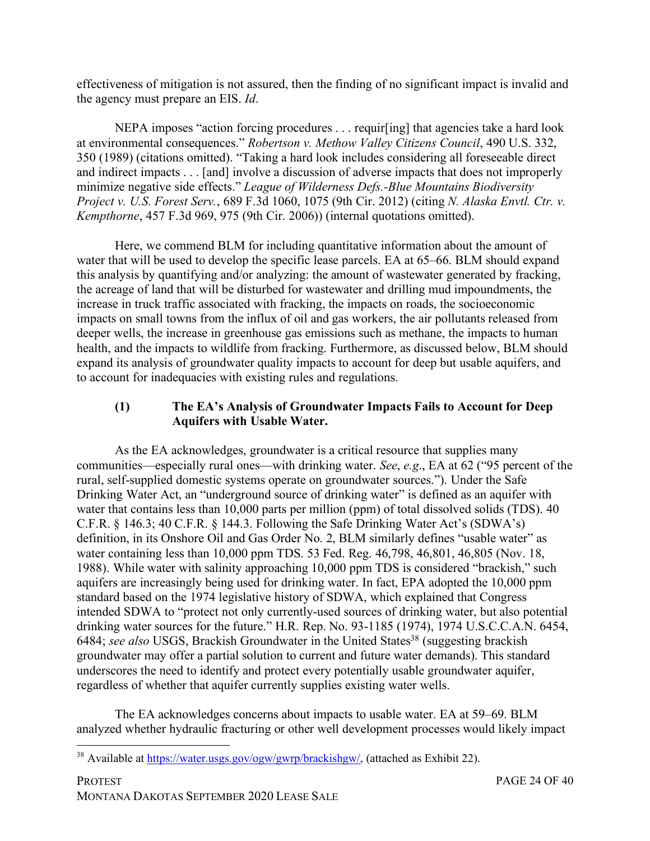effectiveness of mitigation is not assured, then the finding of no significant impact is invalid and the agency must prepare an EIS. *Id*.

NEPA imposes "action forcing procedures . . . requir[ing] that agencies take a hard look at environmental consequences." *Robertson v. Methow Valley Citizens Council*, 490 U.S. 332, 350 (1989) (citations omitted). "Taking a hard look includes considering all foreseeable direct and indirect impacts . . . [and] involve a discussion of adverse impacts that does not improperly minimize negative side effects." *League of Wilderness Defs.-Blue Mountains Biodiversity Project v. U.S. Forest Serv.*, 689 F.3d 1060, 1075 (9th Cir. 2012) (citing *N. Alaska Envtl. Ctr. v. Kempthorne*, 457 F.3d 969, 975 (9th Cir. 2006)) (internal quotations omitted).

Here, we commend BLM for including quantitative information about the amount of water that will be used to develop the specific lease parcels. EA at 65–66. BLM should expand this analysis by quantifying and/or analyzing: the amount of wastewater generated by fracking, the acreage of land that will be disturbed for wastewater and drilling mud impoundments, the increase in truck traffic associated with fracking, the impacts on roads, the socioeconomic impacts on small towns from the influx of oil and gas workers, the air pollutants released from deeper wells, the increase in greenhouse gas emissions such as methane, the impacts to human health, and the impacts to wildlife from fracking. Furthermore, as discussed below, BLM should expand its analysis of groundwater quality impacts to account for deep but usable aquifers, and to account for inadequacies with existing rules and regulations.

## **(1) The EA's Analysis of Groundwater Impacts Fails to Account for Deep Aquifers with Usable Water.**

As the EA acknowledges, groundwater is a critical resource that supplies many communities—especially rural ones—with drinking water. *See*, *e.g*., EA at 62 ("95 percent of the rural, self-supplied domestic systems operate on groundwater sources."). Under the Safe Drinking Water Act, an "underground source of drinking water" is defined as an aquifer with water that contains less than 10,000 parts per million (ppm) of total dissolved solids (TDS). 40 C.F.R. § 146.3; 40 C.F.R. § 144.3. Following the Safe Drinking Water Act's (SDWA's) definition, in its Onshore Oil and Gas Order No. 2, BLM similarly defines "usable water" as water containing less than 10,000 ppm TDS. 53 Fed. Reg. 46,798, 46,801, 46,805 (Nov. 18, 1988). While water with salinity approaching 10,000 ppm TDS is considered "brackish," such aquifers are increasingly being used for drinking water. In fact, EPA adopted the 10,000 ppm standard based on the 1974 legislative history of SDWA, which explained that Congress intended SDWA to "protect not only currently-used sources of drinking water, but also potential drinking water sources for the future." H.R. Rep. No. 93-1185 (1974), 1974 U.S.C.C.A.N. 6454, 6484; *see also* USGS, Brackish Groundwater in the United States<sup>38</sup> (suggesting brackish groundwater may offer a partial solution to current and future water demands). This standard underscores the need to identify and protect every potentially usable groundwater aquifer, regardless of whether that aquifer currently supplies existing water wells.

The EA acknowledges concerns about impacts to usable water. EA at 59–69. BLM analyzed whether hydraulic fracturing or other well development processes would likely impact

 <sup>38</sup> Available at https://water.usgs.gov/ogw/gwrp/brackishgw/, (attached as Exhibit 22).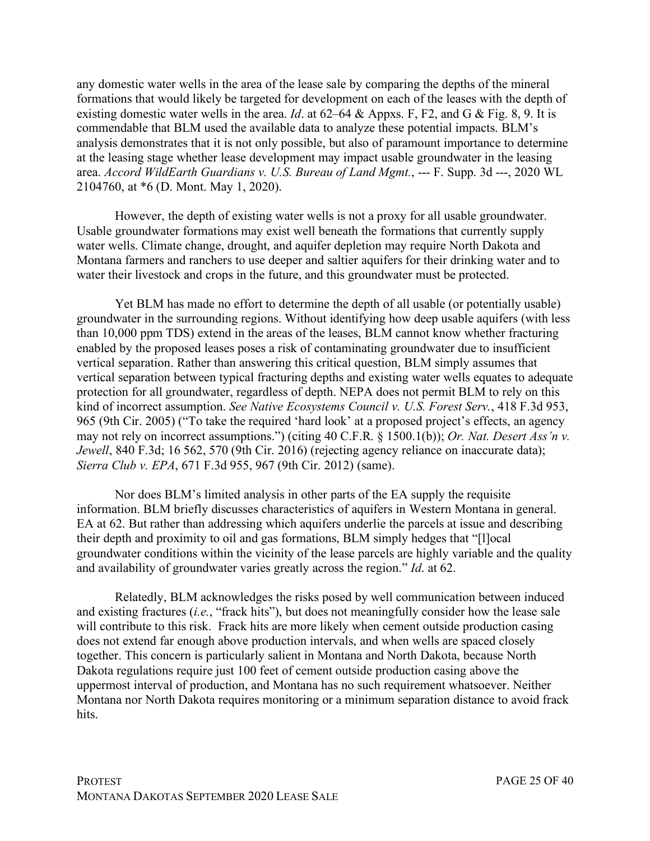any domestic water wells in the area of the lease sale by comparing the depths of the mineral formations that would likely be targeted for development on each of the leases with the depth of existing domestic water wells in the area. *Id*. at 62–64 & Appxs. F, F2, and G & Fig. 8, 9. It is commendable that BLM used the available data to analyze these potential impacts. BLM's analysis demonstrates that it is not only possible, but also of paramount importance to determine at the leasing stage whether lease development may impact usable groundwater in the leasing area. *Accord WildEarth Guardians v. U.S. Bureau of Land Mgmt.*, --- F. Supp. 3d ---, 2020 WL 2104760, at \*6 (D. Mont. May 1, 2020).

However, the depth of existing water wells is not a proxy for all usable groundwater. Usable groundwater formations may exist well beneath the formations that currently supply water wells. Climate change, drought, and aquifer depletion may require North Dakota and Montana farmers and ranchers to use deeper and saltier aquifers for their drinking water and to water their livestock and crops in the future, and this groundwater must be protected.

Yet BLM has made no effort to determine the depth of all usable (or potentially usable) groundwater in the surrounding regions. Without identifying how deep usable aquifers (with less than 10,000 ppm TDS) extend in the areas of the leases, BLM cannot know whether fracturing enabled by the proposed leases poses a risk of contaminating groundwater due to insufficient vertical separation. Rather than answering this critical question, BLM simply assumes that vertical separation between typical fracturing depths and existing water wells equates to adequate protection for all groundwater, regardless of depth. NEPA does not permit BLM to rely on this kind of incorrect assumption. *See Native Ecosystems Council v. U.S. Forest Serv.*, 418 F.3d 953, 965 (9th Cir. 2005) ("To take the required 'hard look' at a proposed project's effects, an agency may not rely on incorrect assumptions.") (citing 40 C.F.R. § 1500.1(b)); *Or. Nat. Desert Ass'n v. Jewell*, 840 F.3d; 16 562, 570 (9th Cir. 2016) (rejecting agency reliance on inaccurate data); *Sierra Club v. EPA*, 671 F.3d 955, 967 (9th Cir. 2012) (same).

Nor does BLM's limited analysis in other parts of the EA supply the requisite information. BLM briefly discusses characteristics of aquifers in Western Montana in general. EA at 62. But rather than addressing which aquifers underlie the parcels at issue and describing their depth and proximity to oil and gas formations, BLM simply hedges that "[l]ocal groundwater conditions within the vicinity of the lease parcels are highly variable and the quality and availability of groundwater varies greatly across the region." *Id*. at 62.

Relatedly, BLM acknowledges the risks posed by well communication between induced and existing fractures (*i.e.*, "frack hits"), but does not meaningfully consider how the lease sale will contribute to this risk. Frack hits are more likely when cement outside production casing does not extend far enough above production intervals, and when wells are spaced closely together. This concern is particularly salient in Montana and North Dakota, because North Dakota regulations require just 100 feet of cement outside production casing above the uppermost interval of production, and Montana has no such requirement whatsoever. Neither Montana nor North Dakota requires monitoring or a minimum separation distance to avoid frack hits.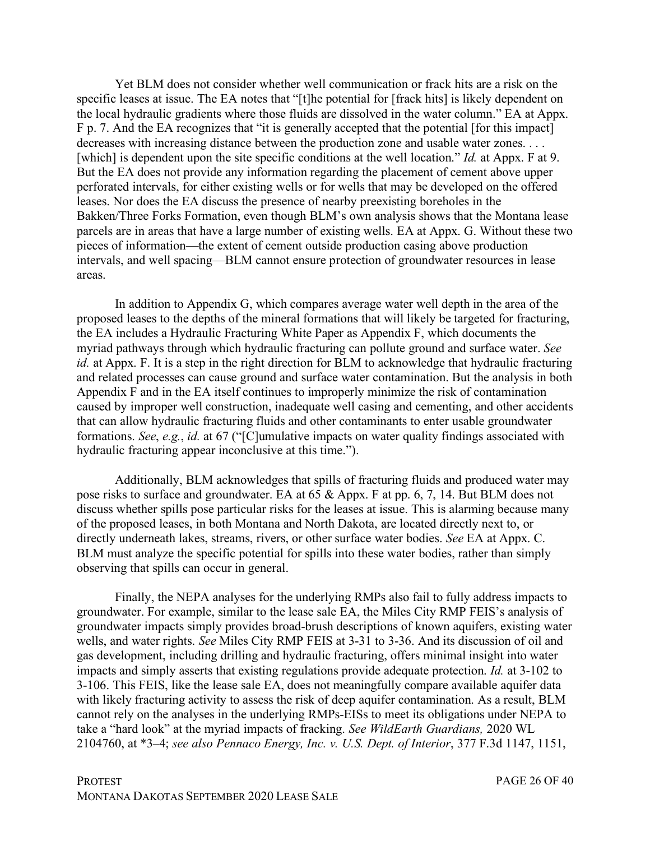Yet BLM does not consider whether well communication or frack hits are a risk on the specific leases at issue. The EA notes that "[t]he potential for [frack hits] is likely dependent on the local hydraulic gradients where those fluids are dissolved in the water column." EA at Appx. F p. 7. And the EA recognizes that "it is generally accepted that the potential [for this impact] decreases with increasing distance between the production zone and usable water zones. . . . [which] is dependent upon the site specific conditions at the well location." *Id.* at Appx. F at 9. But the EA does not provide any information regarding the placement of cement above upper perforated intervals, for either existing wells or for wells that may be developed on the offered leases. Nor does the EA discuss the presence of nearby preexisting boreholes in the Bakken/Three Forks Formation, even though BLM's own analysis shows that the Montana lease parcels are in areas that have a large number of existing wells. EA at Appx. G. Without these two pieces of information—the extent of cement outside production casing above production intervals, and well spacing—BLM cannot ensure protection of groundwater resources in lease areas.

In addition to Appendix G, which compares average water well depth in the area of the proposed leases to the depths of the mineral formations that will likely be targeted for fracturing, the EA includes a Hydraulic Fracturing White Paper as Appendix F, which documents the myriad pathways through which hydraulic fracturing can pollute ground and surface water. *See id.* at Appx. F. It is a step in the right direction for BLM to acknowledge that hydraulic fracturing and related processes can cause ground and surface water contamination. But the analysis in both Appendix F and in the EA itself continues to improperly minimize the risk of contamination caused by improper well construction, inadequate well casing and cementing, and other accidents that can allow hydraulic fracturing fluids and other contaminants to enter usable groundwater formations. *See*, *e.g.*, *id.* at 67 ("[C]umulative impacts on water quality findings associated with hydraulic fracturing appear inconclusive at this time.").

Additionally, BLM acknowledges that spills of fracturing fluids and produced water may pose risks to surface and groundwater. EA at 65 & Appx. F at pp. 6, 7, 14. But BLM does not discuss whether spills pose particular risks for the leases at issue. This is alarming because many of the proposed leases, in both Montana and North Dakota, are located directly next to, or directly underneath lakes, streams, rivers, or other surface water bodies. *See* EA at Appx. C. BLM must analyze the specific potential for spills into these water bodies, rather than simply observing that spills can occur in general.

Finally, the NEPA analyses for the underlying RMPs also fail to fully address impacts to groundwater. For example, similar to the lease sale EA, the Miles City RMP FEIS's analysis of groundwater impacts simply provides broad-brush descriptions of known aquifers, existing water wells, and water rights. *See* Miles City RMP FEIS at 3-31 to 3-36. And its discussion of oil and gas development, including drilling and hydraulic fracturing, offers minimal insight into water impacts and simply asserts that existing regulations provide adequate protection. *Id.* at 3-102 to 3-106. This FEIS, like the lease sale EA, does not meaningfully compare available aquifer data with likely fracturing activity to assess the risk of deep aquifer contamination. As a result, BLM cannot rely on the analyses in the underlying RMPs-EISs to meet its obligations under NEPA to take a "hard look" at the myriad impacts of fracking. *See WildEarth Guardians,* 2020 WL 2104760, at \*3–4; *see also Pennaco Energy, Inc. v. U.S. Dept. of Interior*, 377 F.3d 1147, 1151,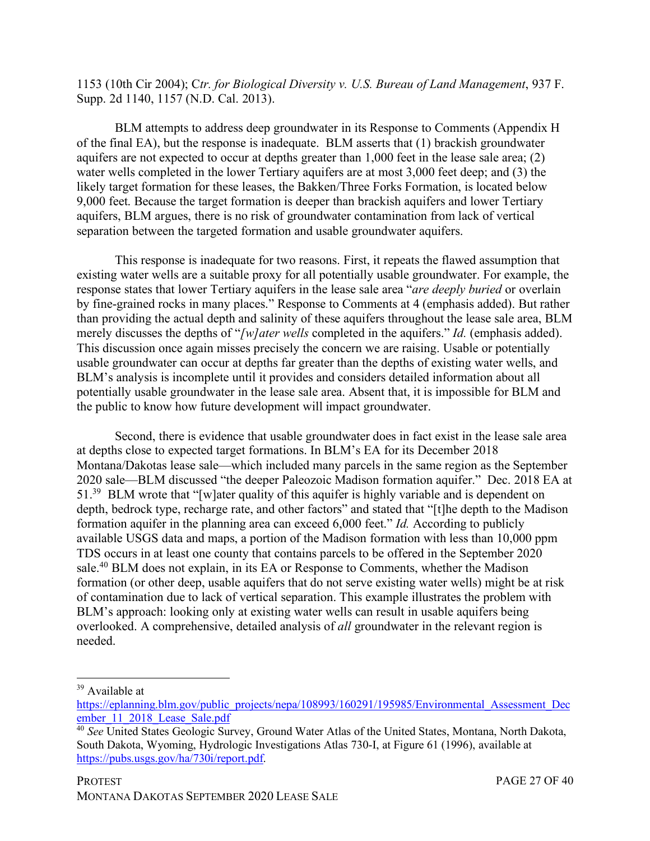1153 (10th Cir 2004); C*tr. for Biological Diversity v. U.S. Bureau of Land Management*, 937 F. Supp. 2d 1140, 1157 (N.D. Cal. 2013).

BLM attempts to address deep groundwater in its Response to Comments (Appendix H of the final EA), but the response is inadequate. BLM asserts that (1) brackish groundwater aquifers are not expected to occur at depths greater than 1,000 feet in the lease sale area; (2) water wells completed in the lower Tertiary aquifers are at most 3,000 feet deep; and (3) the likely target formation for these leases, the Bakken/Three Forks Formation, is located below 9,000 feet. Because the target formation is deeper than brackish aquifers and lower Tertiary aquifers, BLM argues, there is no risk of groundwater contamination from lack of vertical separation between the targeted formation and usable groundwater aquifers.

This response is inadequate for two reasons. First, it repeats the flawed assumption that existing water wells are a suitable proxy for all potentially usable groundwater. For example, the response states that lower Tertiary aquifers in the lease sale area "*are deeply buried* or overlain by fine-grained rocks in many places." Response to Comments at 4 (emphasis added). But rather than providing the actual depth and salinity of these aquifers throughout the lease sale area, BLM merely discusses the depths of "*[w]ater wells* completed in the aquifers." *Id.* (emphasis added). This discussion once again misses precisely the concern we are raising. Usable or potentially usable groundwater can occur at depths far greater than the depths of existing water wells, and BLM's analysis is incomplete until it provides and considers detailed information about all potentially usable groundwater in the lease sale area. Absent that, it is impossible for BLM and the public to know how future development will impact groundwater.

Second, there is evidence that usable groundwater does in fact exist in the lease sale area at depths close to expected target formations. In BLM's EA for its December 2018 Montana/Dakotas lease sale—which included many parcels in the same region as the September 2020 sale—BLM discussed "the deeper Paleozoic Madison formation aquifer." Dec. 2018 EA at 51.39 BLM wrote that "[w]ater quality of this aquifer is highly variable and is dependent on depth, bedrock type, recharge rate, and other factors" and stated that "[t]he depth to the Madison formation aquifer in the planning area can exceed 6,000 feet." *Id.* According to publicly available USGS data and maps, a portion of the Madison formation with less than 10,000 ppm TDS occurs in at least one county that contains parcels to be offered in the September 2020 sale.<sup>40</sup> BLM does not explain, in its EA or Response to Comments, whether the Madison formation (or other deep, usable aquifers that do not serve existing water wells) might be at risk of contamination due to lack of vertical separation. This example illustrates the problem with BLM's approach: looking only at existing water wells can result in usable aquifers being overlooked. A comprehensive, detailed analysis of *all* groundwater in the relevant region is needed.

<sup>&</sup>lt;sup>39</sup> Available at

https://eplanning.blm.gov/public\_projects/nepa/108993/160291/195985/Environmental\_Assessment\_Dec ember 11 2018 Lease Sale.pdf

<sup>40</sup> *See* United States Geologic Survey, Ground Water Atlas of the United States, Montana, North Dakota, South Dakota, Wyoming, Hydrologic Investigations Atlas 730-I, at Figure 61 (1996), available at https://pubs.usgs.gov/ha/730i/report.pdf.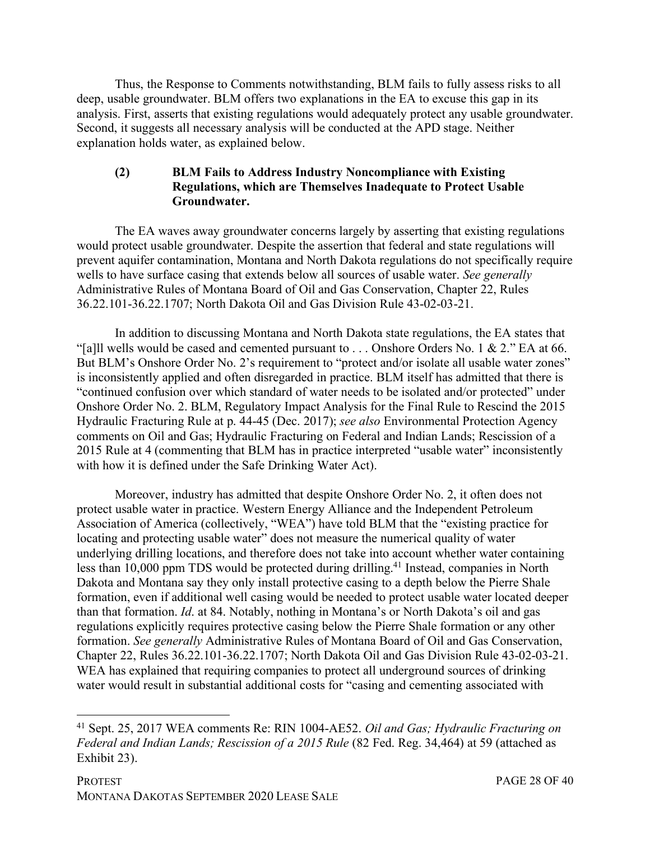Thus, the Response to Comments notwithstanding, BLM fails to fully assess risks to all deep, usable groundwater. BLM offers two explanations in the EA to excuse this gap in its analysis. First, asserts that existing regulations would adequately protect any usable groundwater. Second, it suggests all necessary analysis will be conducted at the APD stage. Neither explanation holds water, as explained below.

#### **(2) BLM Fails to Address Industry Noncompliance with Existing Regulations, which are Themselves Inadequate to Protect Usable Groundwater.**

The EA waves away groundwater concerns largely by asserting that existing regulations would protect usable groundwater. Despite the assertion that federal and state regulations will prevent aquifer contamination, Montana and North Dakota regulations do not specifically require wells to have surface casing that extends below all sources of usable water. *See generally* Administrative Rules of Montana Board of Oil and Gas Conservation, Chapter 22, Rules 36.22.101-36.22.1707; North Dakota Oil and Gas Division Rule 43-02-03-21.

In addition to discussing Montana and North Dakota state regulations, the EA states that "[a]ll wells would be cased and cemented pursuant to  $\ldots$  Onshore Orders No. 1 & 2." EA at 66. But BLM's Onshore Order No. 2's requirement to "protect and/or isolate all usable water zones" is inconsistently applied and often disregarded in practice. BLM itself has admitted that there is "continued confusion over which standard of water needs to be isolated and/or protected" under Onshore Order No. 2. BLM, Regulatory Impact Analysis for the Final Rule to Rescind the 2015 Hydraulic Fracturing Rule at p. 44-45 (Dec. 2017); *see also* Environmental Protection Agency comments on Oil and Gas; Hydraulic Fracturing on Federal and Indian Lands; Rescission of a 2015 Rule at 4 (commenting that BLM has in practice interpreted "usable water" inconsistently with how it is defined under the Safe Drinking Water Act).

Moreover, industry has admitted that despite Onshore Order No. 2, it often does not protect usable water in practice. Western Energy Alliance and the Independent Petroleum Association of America (collectively, "WEA") have told BLM that the "existing practice for locating and protecting usable water" does not measure the numerical quality of water underlying drilling locations, and therefore does not take into account whether water containing less than 10,000 ppm TDS would be protected during drilling.41 Instead, companies in North Dakota and Montana say they only install protective casing to a depth below the Pierre Shale formation, even if additional well casing would be needed to protect usable water located deeper than that formation. *Id*. at 84. Notably, nothing in Montana's or North Dakota's oil and gas regulations explicitly requires protective casing below the Pierre Shale formation or any other formation. *See generally* Administrative Rules of Montana Board of Oil and Gas Conservation, Chapter 22, Rules 36.22.101-36.22.1707; North Dakota Oil and Gas Division Rule 43-02-03-21. WEA has explained that requiring companies to protect all underground sources of drinking water would result in substantial additional costs for "casing and cementing associated with

 <sup>41</sup> Sept. 25, 2017 WEA comments Re: RIN 1004-AE52. *Oil and Gas; Hydraulic Fracturing on Federal and Indian Lands; Rescission of a 2015 Rule* (82 Fed. Reg. 34,464) at 59 (attached as Exhibit 23).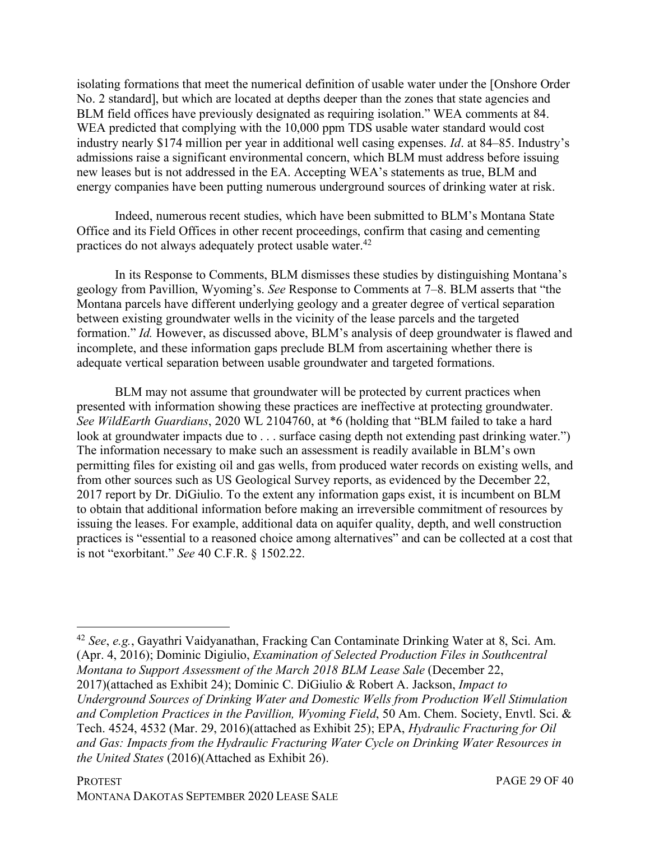isolating formations that meet the numerical definition of usable water under the [Onshore Order No. 2 standard], but which are located at depths deeper than the zones that state agencies and BLM field offices have previously designated as requiring isolation." WEA comments at 84. WEA predicted that complying with the 10,000 ppm TDS usable water standard would cost industry nearly \$174 million per year in additional well casing expenses. *Id*. at 84–85. Industry's admissions raise a significant environmental concern, which BLM must address before issuing new leases but is not addressed in the EA. Accepting WEA's statements as true, BLM and energy companies have been putting numerous underground sources of drinking water at risk.

Indeed, numerous recent studies, which have been submitted to BLM's Montana State Office and its Field Offices in other recent proceedings, confirm that casing and cementing practices do not always adequately protect usable water.42

In its Response to Comments, BLM dismisses these studies by distinguishing Montana's geology from Pavillion, Wyoming's. *See* Response to Comments at 7–8. BLM asserts that "the Montana parcels have different underlying geology and a greater degree of vertical separation between existing groundwater wells in the vicinity of the lease parcels and the targeted formation." *Id.* However, as discussed above, BLM's analysis of deep groundwater is flawed and incomplete, and these information gaps preclude BLM from ascertaining whether there is adequate vertical separation between usable groundwater and targeted formations.

BLM may not assume that groundwater will be protected by current practices when presented with information showing these practices are ineffective at protecting groundwater. *See WildEarth Guardians*, 2020 WL 2104760, at \*6 (holding that "BLM failed to take a hard look at groundwater impacts due to . . . surface casing depth not extending past drinking water.") The information necessary to make such an assessment is readily available in BLM's own permitting files for existing oil and gas wells, from produced water records on existing wells, and from other sources such as US Geological Survey reports, as evidenced by the December 22, 2017 report by Dr. DiGiulio. To the extent any information gaps exist, it is incumbent on BLM to obtain that additional information before making an irreversible commitment of resources by issuing the leases. For example, additional data on aquifer quality, depth, and well construction practices is "essential to a reasoned choice among alternatives" and can be collected at a cost that is not "exorbitant." *See* 40 C.F.R. § 1502.22.

 <sup>42</sup> *See*, *e.g.*, Gayathri Vaidyanathan, Fracking Can Contaminate Drinking Water at 8, Sci. Am. (Apr. 4, 2016); Dominic Digiulio, *Examination of Selected Production Files in Southcentral Montana to Support Assessment of the March 2018 BLM Lease Sale (December 22, Montana to Support Assessment of the March 2018 BLM Lease Sale (December 22, Montana to Support Assessment of the March* 2017)(attached as Exhibit 24); Dominic C. DiGiulio & Robert A. Jackson, *Impact to Underground Sources of Drinking Water and Domestic Wells from Production Well Stimulation and Completion Practices in the Pavillion, Wyoming Field*, 50 Am. Chem. Society, Envtl. Sci. & Tech. 4524, 4532 (Mar. 29, 2016)(attached as Exhibit 25); EPA, *Hydraulic Fracturing for Oil and Gas: Impacts from the Hydraulic Fracturing Water Cycle on Drinking Water Resources in the United States* (2016)(Attached as Exhibit 26).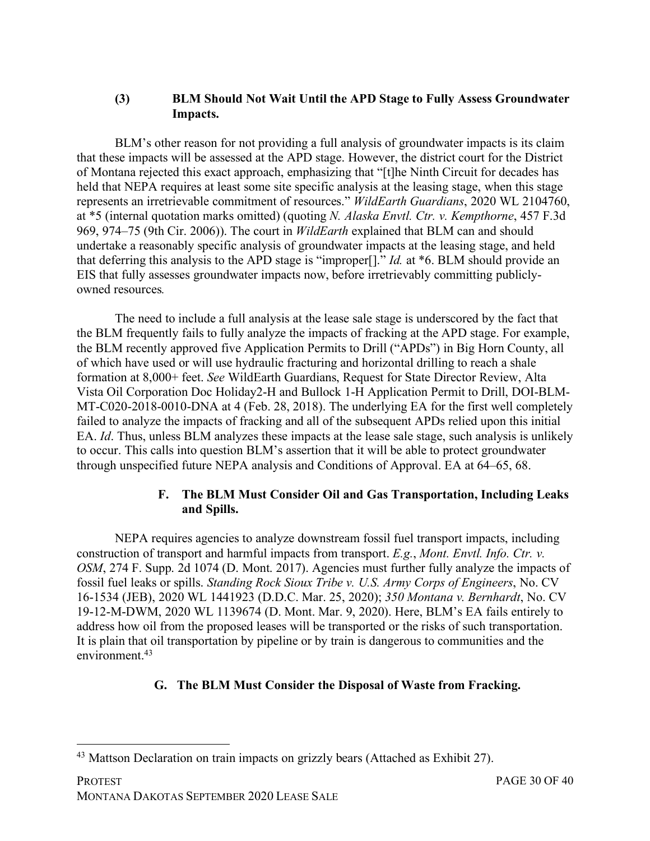#### **(3) BLM Should Not Wait Until the APD Stage to Fully Assess Groundwater Impacts.**

BLM's other reason for not providing a full analysis of groundwater impacts is its claim that these impacts will be assessed at the APD stage. However, the district court for the District of Montana rejected this exact approach, emphasizing that "[t]he Ninth Circuit for decades has held that NEPA requires at least some site specific analysis at the leasing stage, when this stage represents an irretrievable commitment of resources." *WildEarth Guardians*, 2020 WL 2104760, at \*5 (internal quotation marks omitted) (quoting *N. Alaska Envtl. Ctr. v. Kempthorne*, 457 F.3d 969, 974–75 (9th Cir. 2006)). The court in *WildEarth* explained that BLM can and should undertake a reasonably specific analysis of groundwater impacts at the leasing stage, and held that deferring this analysis to the APD stage is "improper[]." *Id.* at \*6. BLM should provide an EIS that fully assesses groundwater impacts now, before irretrievably committing publiclyowned resources*.*

The need to include a full analysis at the lease sale stage is underscored by the fact that the BLM frequently fails to fully analyze the impacts of fracking at the APD stage. For example, the BLM recently approved five Application Permits to Drill ("APDs") in Big Horn County, all of which have used or will use hydraulic fracturing and horizontal drilling to reach a shale formation at 8,000+ feet. *See* WildEarth Guardians, Request for State Director Review, Alta Vista Oil Corporation Doc Holiday2-H and Bullock 1-H Application Permit to Drill, DOI-BLM-MT-C020-2018-0010-DNA at 4 (Feb. 28, 2018). The underlying EA for the first well completely failed to analyze the impacts of fracking and all of the subsequent APDs relied upon this initial EA. *Id*. Thus, unless BLM analyzes these impacts at the lease sale stage, such analysis is unlikely to occur. This calls into question BLM's assertion that it will be able to protect groundwater through unspecified future NEPA analysis and Conditions of Approval. EA at 64–65, 68.

## **F. The BLM Must Consider Oil and Gas Transportation, Including Leaks and Spills.**

NEPA requires agencies to analyze downstream fossil fuel transport impacts, including construction of transport and harmful impacts from transport. *E.g.*, *Mont. Envtl. Info. Ctr. v. OSM*, 274 F. Supp. 2d 1074 (D. Mont. 2017). Agencies must further fully analyze the impacts of fossil fuel leaks or spills. *Standing Rock Sioux Tribe v. U.S. Army Corps of Engineers*, No. CV 16-1534 (JEB), 2020 WL 1441923 (D.D.C. Mar. 25, 2020); *350 Montana v. Bernhardt*, No. CV 19-12-M-DWM, 2020 WL 1139674 (D. Mont. Mar. 9, 2020). Here, BLM's EA fails entirely to address how oil from the proposed leases will be transported or the risks of such transportation. It is plain that oil transportation by pipeline or by train is dangerous to communities and the environment.43

# **G. The BLM Must Consider the Disposal of Waste from Fracking.**

 <sup>43</sup> Mattson Declaration on train impacts on grizzly bears (Attached as Exhibit 27).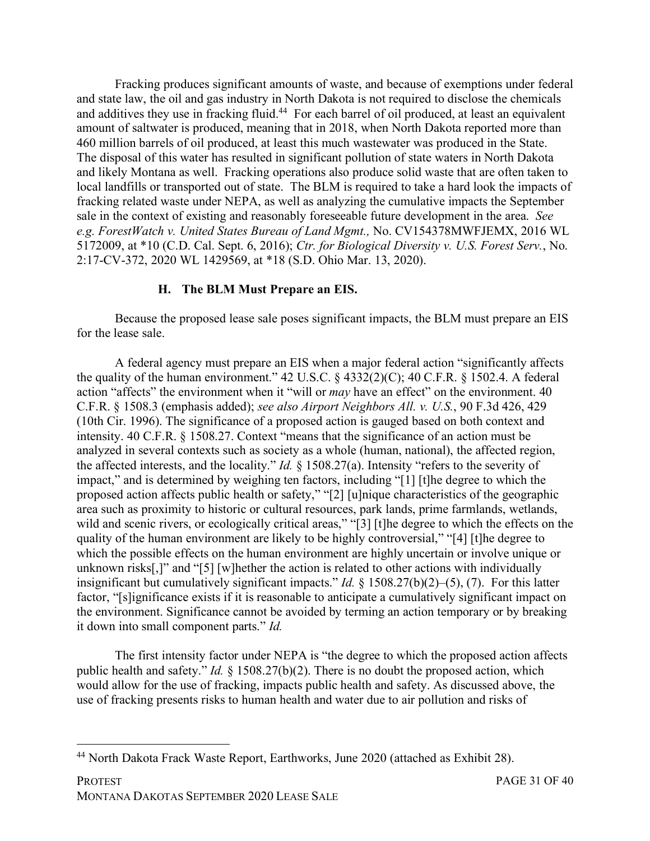Fracking produces significant amounts of waste, and because of exemptions under federal and state law, the oil and gas industry in North Dakota is not required to disclose the chemicals and additives they use in fracking fluid.<sup>44</sup> For each barrel of oil produced, at least an equivalent amount of saltwater is produced, meaning that in 2018, when North Dakota reported more than 460 million barrels of oil produced, at least this much wastewater was produced in the State. The disposal of this water has resulted in significant pollution of state waters in North Dakota and likely Montana as well. Fracking operations also produce solid waste that are often taken to local landfills or transported out of state. The BLM is required to take a hard look the impacts of fracking related waste under NEPA, as well as analyzing the cumulative impacts the September sale in the context of existing and reasonably foreseeable future development in the area. *See e.g. ForestWatch v. United States Bureau of Land Mgmt.,* No. CV154378MWFJEMX, 2016 WL 5172009, at \*10 (C.D. Cal. Sept. 6, 2016); *Ctr. for Biological Diversity v. U.S. Forest Serv.*, No. 2:17-CV-372, 2020 WL 1429569, at \*18 (S.D. Ohio Mar. 13, 2020).

#### **H. The BLM Must Prepare an EIS.**

Because the proposed lease sale poses significant impacts, the BLM must prepare an EIS for the lease sale.

A federal agency must prepare an EIS when a major federal action "significantly affects the quality of the human environment."  $42 \text{ U.S.C.}$   $\frac{6}{5}$   $4332(2)(C)$ ;  $40 \text{ C.F.R.}$   $\frac{6}{5}$  1502.4. A federal action "affects" the environment when it "will or *may* have an effect" on the environment. 40 C.F.R. § 1508.3 (emphasis added); *see also Airport Neighbors All. v. U.S.*, 90 F.3d 426, 429 (10th Cir. 1996). The significance of a proposed action is gauged based on both context and intensity. 40 C.F.R. § 1508.27. Context "means that the significance of an action must be analyzed in several contexts such as society as a whole (human, national), the affected region, the affected interests, and the locality." *Id.* § 1508.27(a). Intensity "refers to the severity of impact," and is determined by weighing ten factors, including "[1] [t]he degree to which the proposed action affects public health or safety," "[2] [u]nique characteristics of the geographic area such as proximity to historic or cultural resources, park lands, prime farmlands, wetlands, wild and scenic rivers, or ecologically critical areas," "[3] [t]he degree to which the effects on the quality of the human environment are likely to be highly controversial," "[4] [t]he degree to which the possible effects on the human environment are highly uncertain or involve unique or unknown risks[,]" and "[5] [w]hether the action is related to other actions with individually insignificant but cumulatively significant impacts." *Id.* § 1508.27(b)(2)–(5), (7). For this latter factor, "[s]ignificance exists if it is reasonable to anticipate a cumulatively significant impact on the environment. Significance cannot be avoided by terming an action temporary or by breaking it down into small component parts." *Id.*

The first intensity factor under NEPA is "the degree to which the proposed action affects public health and safety." *Id.* § 1508.27(b)(2). There is no doubt the proposed action, which would allow for the use of fracking, impacts public health and safety. As discussed above, the use of fracking presents risks to human health and water due to air pollution and risks of

 <sup>44</sup> North Dakota Frack Waste Report, Earthworks, June 2020 (attached as Exhibit 28).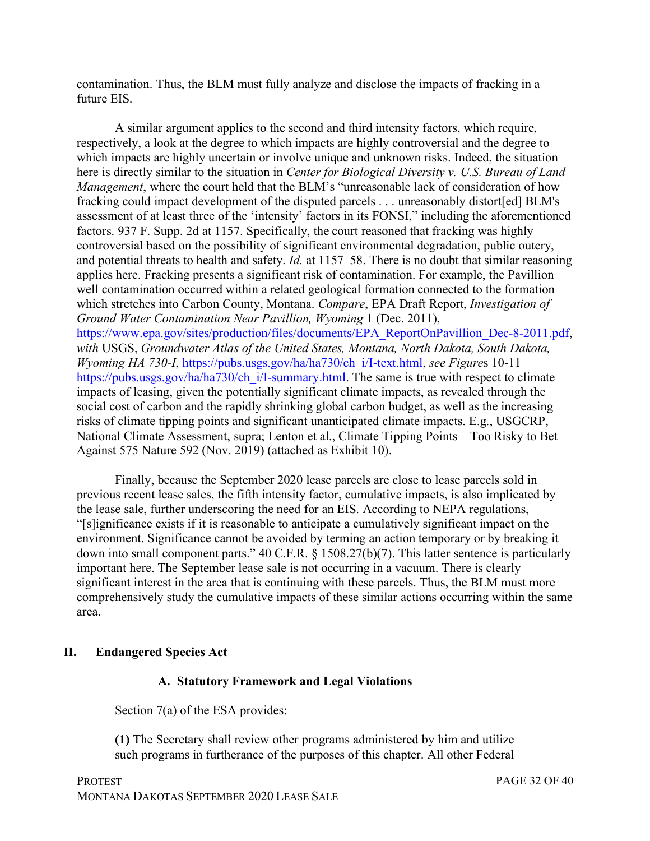contamination. Thus, the BLM must fully analyze and disclose the impacts of fracking in a future EIS.

A similar argument applies to the second and third intensity factors, which require, respectively, a look at the degree to which impacts are highly controversial and the degree to which impacts are highly uncertain or involve unique and unknown risks. Indeed, the situation here is directly similar to the situation in *Center for Biological Diversity v. U.S. Bureau of Land Management*, where the court held that the BLM's "unreasonable lack of consideration of how fracking could impact development of the disputed parcels . . . unreasonably distort[ed] BLM's assessment of at least three of the 'intensity' factors in its FONSI," including the aforementioned factors. 937 F. Supp. 2d at 1157. Specifically, the court reasoned that fracking was highly controversial based on the possibility of significant environmental degradation, public outcry, and potential threats to health and safety. *Id.* at 1157–58. There is no doubt that similar reasoning applies here. Fracking presents a significant risk of contamination. For example, the Pavillion well contamination occurred within a related geological formation connected to the formation which stretches into Carbon County, Montana. *Compare*, EPA Draft Report, *Investigation of Ground Water Contamination Near Pavillion, Wyoming* 1 (Dec. 2011), https://www.epa.gov/sites/production/files/documents/EPA\_ReportOnPavillion\_Dec-8-2011.pdf, *with* USGS, *Groundwater Atlas of the United States, Montana, North Dakota, South Dakota, Wyoming HA 730-I*, https://pubs.usgs.gov/ha/ha730/ch\_i/I-text.html, *see Figure*s 10-11 https://pubs.usgs.gov/ha/ha730/ch\_i/I-summary.html. The same is true with respect to climate impacts of leasing, given the potentially significant climate impacts, as revealed through the social cost of carbon and the rapidly shrinking global carbon budget, as well as the increasing risks of climate tipping points and significant unanticipated climate impacts. E.g., USGCRP, National Climate Assessment, supra; Lenton et al., Climate Tipping Points—Too Risky to Bet Against 575 Nature 592 (Nov. 2019) (attached as Exhibit 10).

Finally, because the September 2020 lease parcels are close to lease parcels sold in previous recent lease sales, the fifth intensity factor, cumulative impacts, is also implicated by the lease sale, further underscoring the need for an EIS. According to NEPA regulations, "[s]ignificance exists if it is reasonable to anticipate a cumulatively significant impact on the environment. Significance cannot be avoided by terming an action temporary or by breaking it down into small component parts." 40 C.F.R. § 1508.27(b)(7). This latter sentence is particularly important here. The September lease sale is not occurring in a vacuum. There is clearly significant interest in the area that is continuing with these parcels. Thus, the BLM must more comprehensively study the cumulative impacts of these similar actions occurring within the same area.

#### **II. Endangered Species Act**

#### **A. Statutory Framework and Legal Violations**

Section 7(a) of the ESA provides:

**(1)** The Secretary shall review other programs administered by him and utilize such programs in furtherance of the purposes of this chapter. All other Federal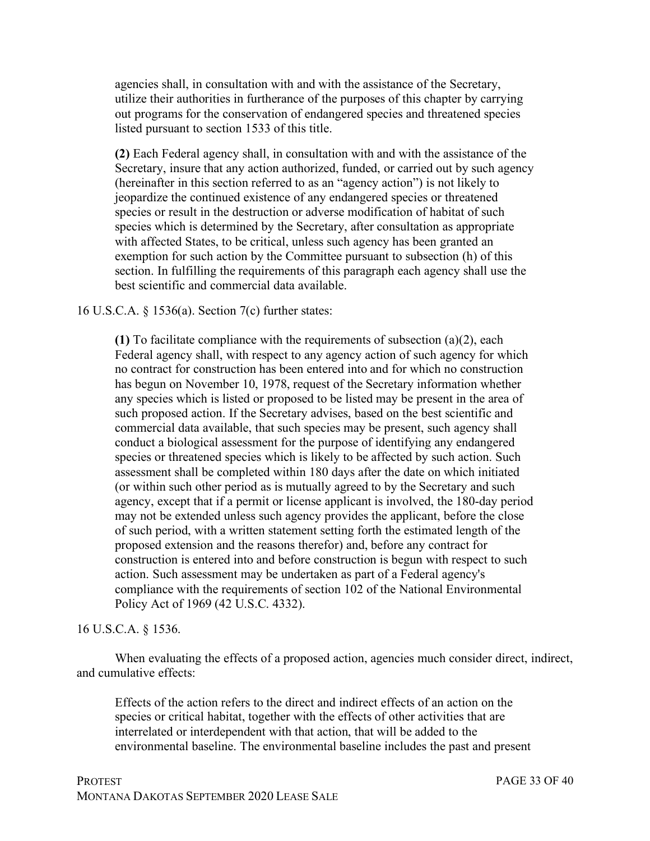agencies shall, in consultation with and with the assistance of the Secretary, utilize their authorities in furtherance of the purposes of this chapter by carrying out programs for the conservation of endangered species and threatened species listed pursuant to section 1533 of this title.

**(2)** Each Federal agency shall, in consultation with and with the assistance of the Secretary, insure that any action authorized, funded, or carried out by such agency (hereinafter in this section referred to as an "agency action") is not likely to jeopardize the continued existence of any endangered species or threatened species or result in the destruction or adverse modification of habitat of such species which is determined by the Secretary, after consultation as appropriate with affected States, to be critical, unless such agency has been granted an exemption for such action by the Committee pursuant to subsection (h) of this section. In fulfilling the requirements of this paragraph each agency shall use the best scientific and commercial data available.

16 U.S.C.A. § 1536(a). Section 7(c) further states:

**(1)** To facilitate compliance with the requirements of subsection (a)(2), each Federal agency shall, with respect to any agency action of such agency for which no contract for construction has been entered into and for which no construction has begun on November 10, 1978, request of the Secretary information whether any species which is listed or proposed to be listed may be present in the area of such proposed action. If the Secretary advises, based on the best scientific and commercial data available, that such species may be present, such agency shall conduct a biological assessment for the purpose of identifying any endangered species or threatened species which is likely to be affected by such action. Such assessment shall be completed within 180 days after the date on which initiated (or within such other period as is mutually agreed to by the Secretary and such agency, except that if a permit or license applicant is involved, the 180-day period may not be extended unless such agency provides the applicant, before the close of such period, with a written statement setting forth the estimated length of the proposed extension and the reasons therefor) and, before any contract for construction is entered into and before construction is begun with respect to such action. Such assessment may be undertaken as part of a Federal agency's compliance with the requirements of section 102 of the National Environmental Policy Act of 1969 (42 U.S.C. 4332).

#### 16 U.S.C.A. § 1536.

When evaluating the effects of a proposed action, agencies much consider direct, indirect, and cumulative effects:

Effects of the action refers to the direct and indirect effects of an action on the species or critical habitat, together with the effects of other activities that are interrelated or interdependent with that action, that will be added to the environmental baseline. The environmental baseline includes the past and present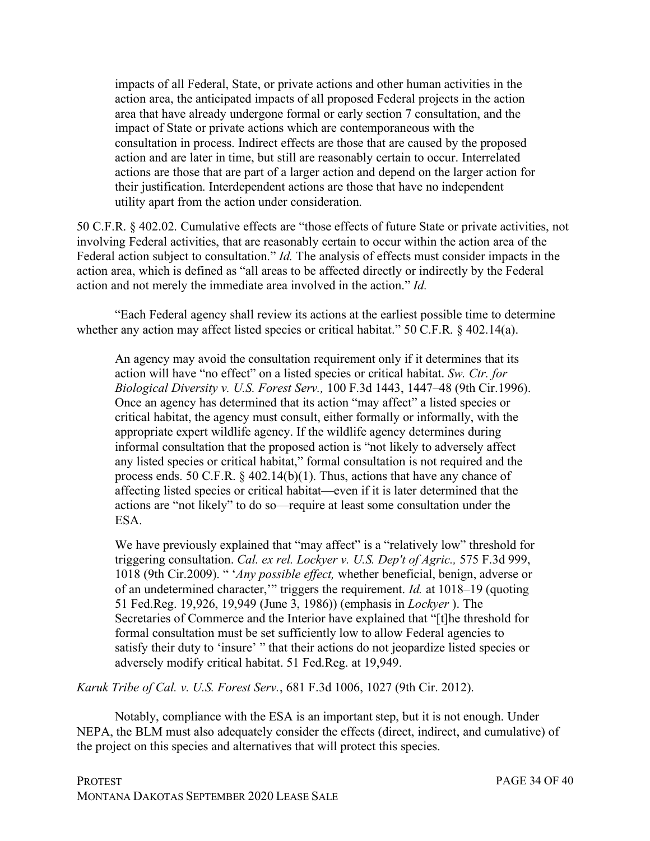impacts of all Federal, State, or private actions and other human activities in the action area, the anticipated impacts of all proposed Federal projects in the action area that have already undergone formal or early section 7 consultation, and the impact of State or private actions which are contemporaneous with the consultation in process. Indirect effects are those that are caused by the proposed action and are later in time, but still are reasonably certain to occur. Interrelated actions are those that are part of a larger action and depend on the larger action for their justification. Interdependent actions are those that have no independent utility apart from the action under consideration.

50 C.F.R. § 402.02. Cumulative effects are "those effects of future State or private activities, not involving Federal activities, that are reasonably certain to occur within the action area of the Federal action subject to consultation." *Id.* The analysis of effects must consider impacts in the action area, which is defined as "all areas to be affected directly or indirectly by the Federal action and not merely the immediate area involved in the action." *Id.*

"Each Federal agency shall review its actions at the earliest possible time to determine whether any action may affect listed species or critical habitat." 50 C.F.R. § 402.14(a).

An agency may avoid the consultation requirement only if it determines that its action will have "no effect" on a listed species or critical habitat. *Sw. Ctr. for Biological Diversity v. U.S. Forest Serv.,* 100 F.3d 1443, 1447–48 (9th Cir.1996). Once an agency has determined that its action "may affect" a listed species or critical habitat, the agency must consult, either formally or informally, with the appropriate expert wildlife agency. If the wildlife agency determines during informal consultation that the proposed action is "not likely to adversely affect any listed species or critical habitat," formal consultation is not required and the process ends. 50 C.F.R. § 402.14(b)(1). Thus, actions that have any chance of affecting listed species or critical habitat—even if it is later determined that the actions are "not likely" to do so—require at least some consultation under the ESA.

We have previously explained that "may affect" is a "relatively low" threshold for triggering consultation. *Cal. ex rel. Lockyer v. U.S. Dep't of Agric.,* 575 F.3d 999, 1018 (9th Cir.2009). " '*Any possible effect,* whether beneficial, benign, adverse or of an undetermined character,'" triggers the requirement. *Id.* at 1018–19 (quoting 51 Fed.Reg. 19,926, 19,949 (June 3, 1986)) (emphasis in *Lockyer* ). The Secretaries of Commerce and the Interior have explained that "[t]he threshold for formal consultation must be set sufficiently low to allow Federal agencies to satisfy their duty to 'insure' " that their actions do not jeopardize listed species or adversely modify critical habitat. 51 Fed.Reg. at 19,949.

*Karuk Tribe of Cal. v. U.S. Forest Serv.*, 681 F.3d 1006, 1027 (9th Cir. 2012).

Notably, compliance with the ESA is an important step, but it is not enough. Under NEPA, the BLM must also adequately consider the effects (direct, indirect, and cumulative) of the project on this species and alternatives that will protect this species.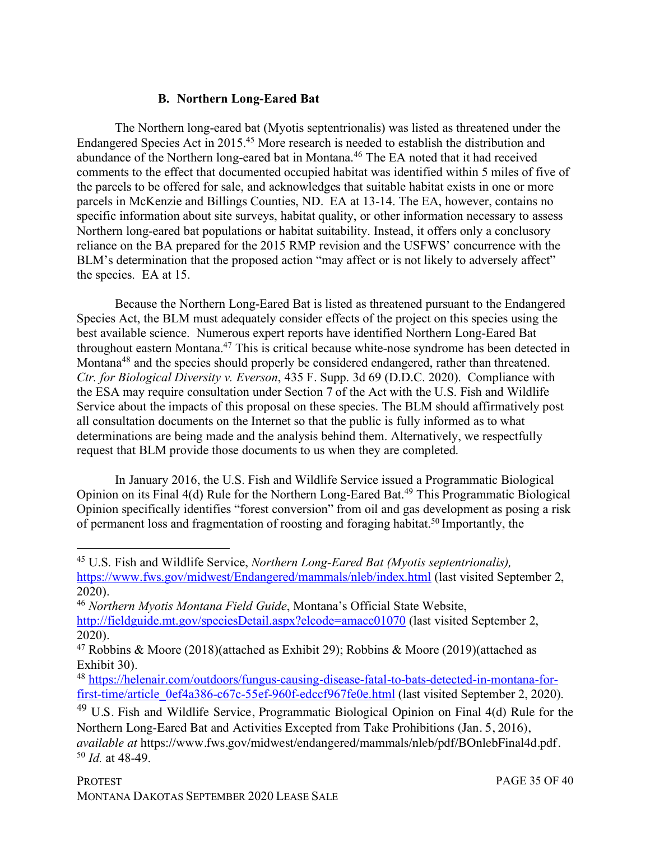#### **B. Northern Long-Eared Bat**

The Northern long-eared bat (Myotis septentrionalis) was listed as threatened under the Endangered Species Act in 2015.45 More research is needed to establish the distribution and abundance of the Northern long-eared bat in Montana.46 The EA noted that it had received comments to the effect that documented occupied habitat was identified within 5 miles of five of the parcels to be offered for sale, and acknowledges that suitable habitat exists in one or more parcels in McKenzie and Billings Counties, ND. EA at 13-14. The EA, however, contains no specific information about site surveys, habitat quality, or other information necessary to assess Northern long-eared bat populations or habitat suitability. Instead, it offers only a conclusory reliance on the BA prepared for the 2015 RMP revision and the USFWS' concurrence with the BLM's determination that the proposed action "may affect or is not likely to adversely affect" the species. EA at 15.

Because the Northern Long-Eared Bat is listed as threatened pursuant to the Endangered Species Act, the BLM must adequately consider effects of the project on this species using the best available science. Numerous expert reports have identified Northern Long-Eared Bat throughout eastern Montana.47 This is critical because white-nose syndrome has been detected in Montana<sup>48</sup> and the species should properly be considered endangered, rather than threatened. *Ctr. for Biological Diversity v. Everson*, 435 F. Supp. 3d 69 (D.D.C. 2020). Compliance with the ESA may require consultation under Section 7 of the Act with the U.S. Fish and Wildlife Service about the impacts of this proposal on these species. The BLM should affirmatively post all consultation documents on the Internet so that the public is fully informed as to what determinations are being made and the analysis behind them. Alternatively, we respectfully request that BLM provide those documents to us when they are completed.

In January 2016, the U.S. Fish and Wildlife Service issued a Programmatic Biological Opinion on its Final 4(d) Rule for the Northern Long-Eared Bat.<sup>49</sup> This Programmatic Biological Opinion specifically identifies "forest conversion" from oil and gas development as posing a risk of permanent loss and fragmentation of roosting and foraging habitat.<sup>50</sup> Importantly, the

 <sup>45</sup> U.S. Fish and Wildlife Service, *Northern Long-Eared Bat (Myotis septentrionalis),* https://www.fws.gov/midwest/Endangered/mammals/nleb/index.html (last visited September 2, 2020).

<sup>46</sup> *Northern Myotis Montana Field Guide*, Montana's Official State Website, http://fieldguide.mt.gov/speciesDetail.aspx?elcode=amacc01070 (last visited September 2, 2020).

<sup>&</sup>lt;sup>47</sup> Robbins & Moore (2018)(attached as Exhibit 29); Robbins & Moore (2019)(attached as Exhibit 30).

<sup>48</sup> https://helenair.com/outdoors/fungus-causing-disease-fatal-to-bats-detected-in-montana-forfirst-time/article\_0ef4a386-c67c-55ef-960f-edccf967fe0e.html (last visited September 2, 2020).

<sup>&</sup>lt;sup>49</sup> U.S. Fish and Wildlife Service, Programmatic Biological Opinion on Final 4(d) Rule for the Northern Long-Eared Bat and Activities Excepted from Take Prohibitions (Jan. 5, 2016), *available at* https://www.fws.gov/midwest/endangered/mammals/nleb/pdf/BOnlebFinal4d.pdf. <sup>50</sup> *Id.* at 48-49.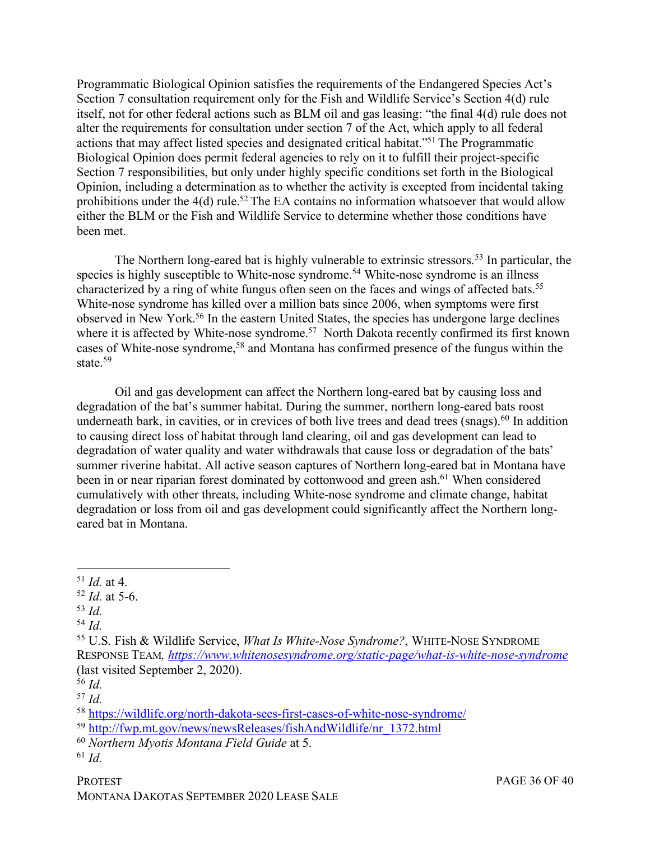Programmatic Biological Opinion satisfies the requirements of the Endangered Species Act's Section 7 consultation requirement only for the Fish and Wildlife Service's Section 4(d) rule itself, not for other federal actions such as BLM oil and gas leasing: "the final 4(d) rule does not alter the requirements for consultation under section 7 of the Act, which apply to all federal actions that may affect listed species and designated critical habitat."51 The Programmatic Biological Opinion does permit federal agencies to rely on it to fulfill their project-specific Section 7 responsibilities, but only under highly specific conditions set forth in the Biological Opinion, including a determination as to whether the activity is excepted from incidental taking prohibitions under the 4(d) rule.<sup>52</sup> The EA contains no information whatsoever that would allow either the BLM or the Fish and Wildlife Service to determine whether those conditions have been met.

The Northern long-eared bat is highly vulnerable to extrinsic stressors.<sup>53</sup> In particular, the species is highly susceptible to White-nose syndrome.<sup>54</sup> White-nose syndrome is an illness characterized by a ring of white fungus often seen on the faces and wings of affected bats.<sup>55</sup> White-nose syndrome has killed over a million bats since 2006, when symptoms were first observed in New York.56 In the eastern United States, the species has undergone large declines where it is affected by White-nose syndrome.<sup>57</sup> North Dakota recently confirmed its first known cases of White-nose syndrome,58 and Montana has confirmed presence of the fungus within the state  $59$ 

Oil and gas development can affect the Northern long-eared bat by causing loss and degradation of the bat's summer habitat. During the summer, northern long-eared bats roost underneath bark, in cavities, or in crevices of both live trees and dead trees (snags).<sup>60</sup> In addition to causing direct loss of habitat through land clearing, oil and gas development can lead to degradation of water quality and water withdrawals that cause loss or degradation of the bats' summer riverine habitat. All active season captures of Northern long-eared bat in Montana have been in or near riparian forest dominated by cottonwood and green ash.<sup>61</sup> When considered cumulatively with other threats, including White-nose syndrome and climate change, habitat degradation or loss from oil and gas development could significantly affect the Northern longeared bat in Montana.

<sup>53</sup> *Id.*

<sup>60</sup> *Northern Myotis Montana Field Guide* at 5.

 <sup>51</sup> *Id.* at 4.

<sup>52</sup> *Id.* at 5-6.

<sup>54</sup> *Id.*

<sup>55</sup> U.S. Fish & Wildlife Service, *What Is White-Nose Syndrome?*, WHITE-NOSE SYNDROME RESPONSE TEAM*, https://www.whitenosesyndrome.org/static-page/what-is-white-nose-syndrome* (last visited September 2, 2020).

<sup>56</sup> *Id.*

<sup>57</sup> *Id.*

<sup>58</sup> https://wildlife.org/north-dakota-sees-first-cases-of-white-nose-syndrome/

<sup>59</sup> http://fwp.mt.gov/news/newsReleases/fishAndWildlife/nr\_1372.html

<sup>61</sup> *Id.*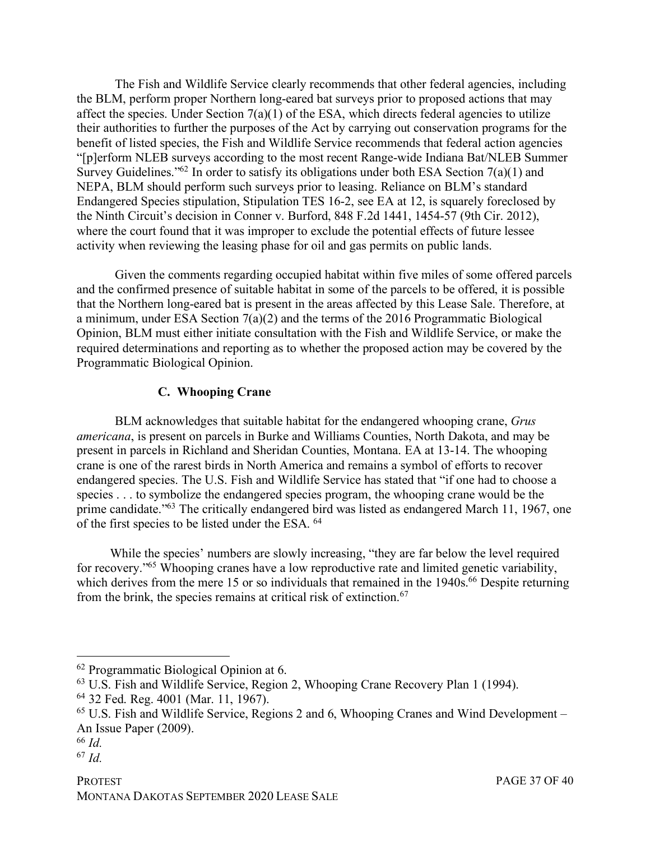The Fish and Wildlife Service clearly recommends that other federal agencies, including the BLM, perform proper Northern long-eared bat surveys prior to proposed actions that may affect the species. Under Section  $7(a)(1)$  of the ESA, which directs federal agencies to utilize their authorities to further the purposes of the Act by carrying out conservation programs for the benefit of listed species, the Fish and Wildlife Service recommends that federal action agencies "[p]erform NLEB surveys according to the most recent Range-wide Indiana Bat/NLEB Summer Survey Guidelines."<sup>62</sup> In order to satisfy its obligations under both ESA Section  $7(a)(1)$  and NEPA, BLM should perform such surveys prior to leasing. Reliance on BLM's standard Endangered Species stipulation, Stipulation TES 16-2, see EA at 12, is squarely foreclosed by the Ninth Circuit's decision in Conner v. Burford, 848 F.2d 1441, 1454-57 (9th Cir. 2012), where the court found that it was improper to exclude the potential effects of future lessee activity when reviewing the leasing phase for oil and gas permits on public lands.

Given the comments regarding occupied habitat within five miles of some offered parcels and the confirmed presence of suitable habitat in some of the parcels to be offered, it is possible that the Northern long-eared bat is present in the areas affected by this Lease Sale. Therefore, at a minimum, under ESA Section 7(a)(2) and the terms of the 2016 Programmatic Biological Opinion, BLM must either initiate consultation with the Fish and Wildlife Service, or make the required determinations and reporting as to whether the proposed action may be covered by the Programmatic Biological Opinion.

## **C. Whooping Crane**

BLM acknowledges that suitable habitat for the endangered whooping crane, *Grus americana*, is present on parcels in Burke and Williams Counties, North Dakota, and may be present in parcels in Richland and Sheridan Counties, Montana. EA at 13-14. The whooping crane is one of the rarest birds in North America and remains a symbol of efforts to recover endangered species. The U.S. Fish and Wildlife Service has stated that "if one had to choose a species . . . to symbolize the endangered species program, the whooping crane would be the prime candidate."63 The critically endangered bird was listed as endangered March 11, 1967, one of the first species to be listed under the ESA. 64

While the species' numbers are slowly increasing, "they are far below the level required for recovery."65 Whooping cranes have a low reproductive rate and limited genetic variability, which derives from the mere 15 or so individuals that remained in the 1940s.<sup>66</sup> Despite returning from the brink, the species remains at critical risk of extinction.<sup>67</sup>

 <sup>62</sup> Programmatic Biological Opinion at 6.

<sup>63</sup> U.S. Fish and Wildlife Service, Region 2, Whooping Crane Recovery Plan 1 (1994).

<sup>64</sup> 32 Fed. Reg. 4001 (Mar. 11, 1967).

 $65$  U.S. Fish and Wildlife Service, Regions 2 and 6, Whooping Cranes and Wind Development – An Issue Paper (2009).

<sup>66</sup> *Id.*

<sup>67</sup> *Id.*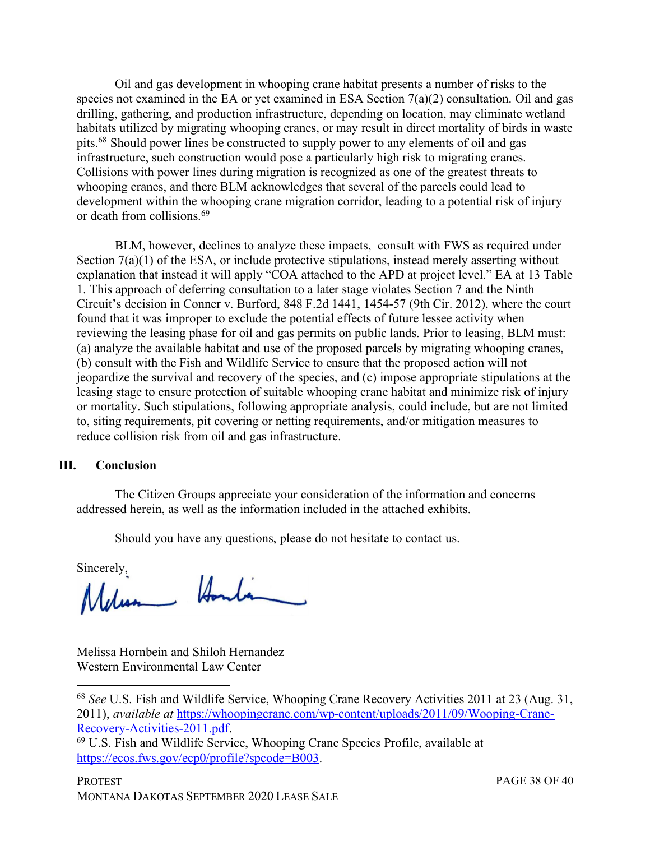Oil and gas development in whooping crane habitat presents a number of risks to the species not examined in the EA or yet examined in ESA Section 7(a)(2) consultation. Oil and gas drilling, gathering, and production infrastructure, depending on location, may eliminate wetland habitats utilized by migrating whooping cranes, or may result in direct mortality of birds in waste pits.68 Should power lines be constructed to supply power to any elements of oil and gas infrastructure, such construction would pose a particularly high risk to migrating cranes. Collisions with power lines during migration is recognized as one of the greatest threats to whooping cranes, and there BLM acknowledges that several of the parcels could lead to development within the whooping crane migration corridor, leading to a potential risk of injury or death from collisions.69

BLM, however, declines to analyze these impacts, consult with FWS as required under Section 7(a)(1) of the ESA, or include protective stipulations, instead merely asserting without explanation that instead it will apply "COA attached to the APD at project level." EA at 13 Table 1. This approach of deferring consultation to a later stage violates Section 7 and the Ninth Circuit's decision in Conner v. Burford, 848 F.2d 1441, 1454-57 (9th Cir. 2012), where the court found that it was improper to exclude the potential effects of future lessee activity when reviewing the leasing phase for oil and gas permits on public lands. Prior to leasing, BLM must: (a) analyze the available habitat and use of the proposed parcels by migrating whooping cranes, (b) consult with the Fish and Wildlife Service to ensure that the proposed action will not jeopardize the survival and recovery of the species, and (c) impose appropriate stipulations at the leasing stage to ensure protection of suitable whooping crane habitat and minimize risk of injury or mortality. Such stipulations, following appropriate analysis, could include, but are not limited to, siting requirements, pit covering or netting requirements, and/or mitigation measures to reduce collision risk from oil and gas infrastructure.

#### **III. Conclusion**

The Citizen Groups appreciate your consideration of the information and concerns addressed herein, as well as the information included in the attached exhibits.

Should you have any questions, please do not hesitate to contact us.

Sincerely, Annham

Melissa Hornbein and Shiloh Hernandez Western Environmental Law Center

 <sup>68</sup> *See* U.S. Fish and Wildlife Service, Whooping Crane Recovery Activities 2011 at 23 (Aug. 31, 2011), *available at* https://whoopingcrane.com/wp-content/uploads/2011/09/Wooping-Crane-Recovery-Activities-2011.pdf.<br><sup>69</sup> U.S. Fish and Wildlife Service, Whooping Crane Species Profile, available at

https://ecos.fws.gov/ecp0/profile?spcode=B003.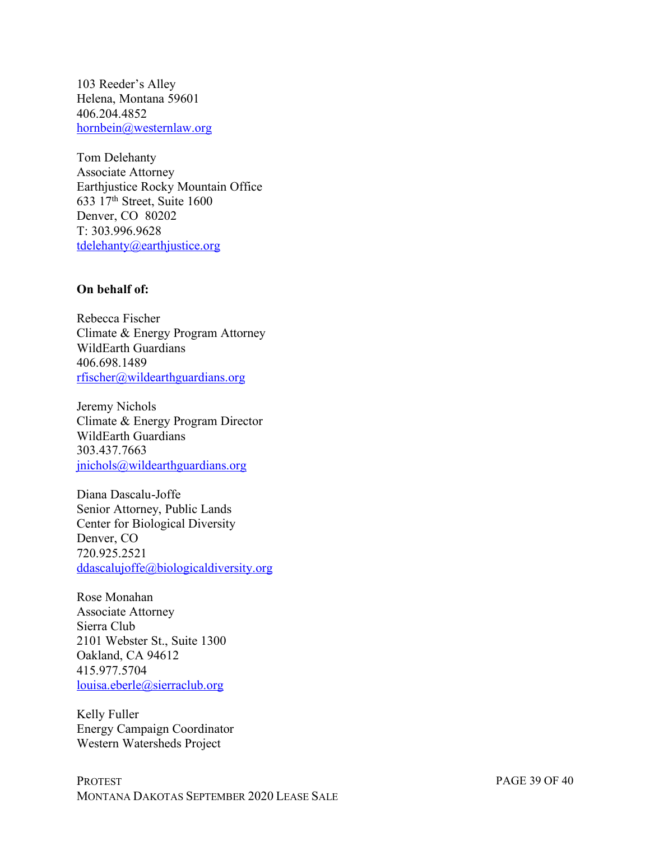103 Reeder's Alley Helena, Montana 59601 406.204.4852 hornbein@westernlaw.org

Tom Delehanty Associate Attorney Earthjustice Rocky Mountain Office 633 17th Street, Suite 1600 Denver, CO 80202 T: 303.996.9628 tdelehanty@earthjustice.org

#### **On behalf of:**

Rebecca Fischer Climate & Energy Program Attorney WildEarth Guardians 406.698.1489 rfischer@wildearthguardians.org

Jeremy Nichols Climate & Energy Program Director WildEarth Guardians 303.437.7663 jnichols@wildearthguardians.org

Diana Dascalu-Joffe Senior Attorney, Public Lands Center for Biological Diversity Denver, CO 720.925.2521 ddascalujoffe@biologicaldiversity.org

Rose Monahan Associate Attorney Sierra Club 2101 Webster St., Suite 1300 Oakland, CA 94612 415.977.5704 louisa.eberle@sierraclub.org

Kelly Fuller Energy Campaign Coordinator Western Watersheds Project